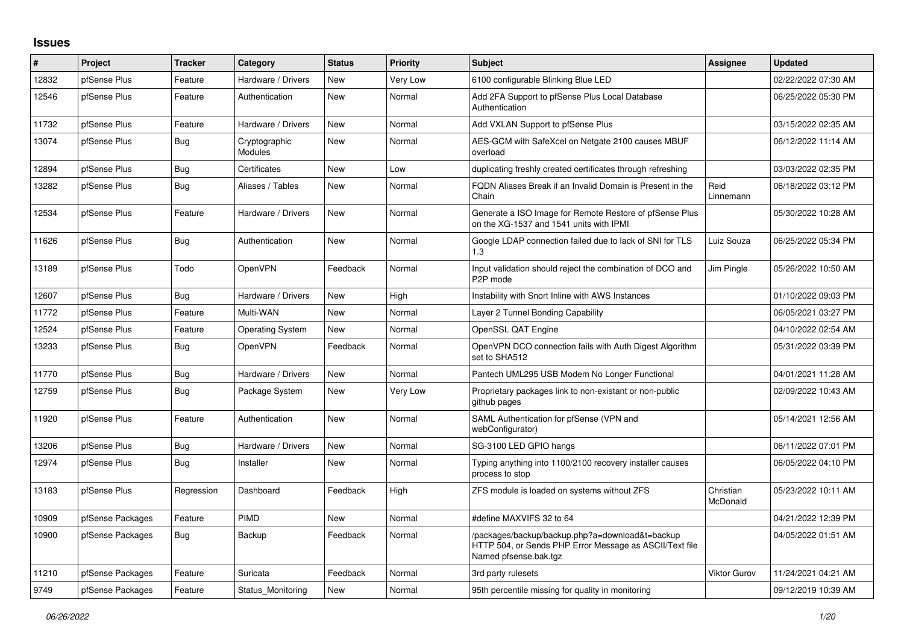## **Issues**

| #     | Project          | <b>Tracker</b> | Category                        | <b>Status</b> | <b>Priority</b> | <b>Subject</b>                                                                                                                      | Assignee              | <b>Updated</b>      |
|-------|------------------|----------------|---------------------------------|---------------|-----------------|-------------------------------------------------------------------------------------------------------------------------------------|-----------------------|---------------------|
| 12832 | pfSense Plus     | Feature        | Hardware / Drivers              | <b>New</b>    | Very Low        | 6100 configurable Blinking Blue LED                                                                                                 |                       | 02/22/2022 07:30 AM |
| 12546 | pfSense Plus     | Feature        | Authentication                  | <b>New</b>    | Normal          | Add 2FA Support to pfSense Plus Local Database<br>Authentication                                                                    |                       | 06/25/2022 05:30 PM |
| 11732 | pfSense Plus     | Feature        | Hardware / Drivers              | <b>New</b>    | Normal          | Add VXLAN Support to pfSense Plus                                                                                                   |                       | 03/15/2022 02:35 AM |
| 13074 | pfSense Plus     | <b>Bug</b>     | Cryptographic<br><b>Modules</b> | <b>New</b>    | Normal          | AES-GCM with SafeXcel on Netgate 2100 causes MBUF<br>overload                                                                       |                       | 06/12/2022 11:14 AM |
| 12894 | pfSense Plus     | Bug            | Certificates                    | <b>New</b>    | Low             | duplicating freshly created certificates through refreshing                                                                         |                       | 03/03/2022 02:35 PM |
| 13282 | pfSense Plus     | Bug            | Aliases / Tables                | New           | Normal          | FQDN Aliases Break if an Invalid Domain is Present in the<br>Chain                                                                  | Reid<br>Linnemann     | 06/18/2022 03:12 PM |
| 12534 | pfSense Plus     | Feature        | Hardware / Drivers              | <b>New</b>    | Normal          | Generate a ISO Image for Remote Restore of pfSense Plus<br>on the XG-1537 and 1541 units with IPMI                                  |                       | 05/30/2022 10:28 AM |
| 11626 | pfSense Plus     | <b>Bug</b>     | Authentication                  | New           | Normal          | Google LDAP connection failed due to lack of SNI for TLS<br>1.3                                                                     | Luiz Souza            | 06/25/2022 05:34 PM |
| 13189 | pfSense Plus     | Todo           | OpenVPN                         | Feedback      | Normal          | Input validation should reject the combination of DCO and<br>P <sub>2</sub> P mode                                                  | Jim Pingle            | 05/26/2022 10:50 AM |
| 12607 | pfSense Plus     | Bug            | Hardware / Drivers              | <b>New</b>    | High            | Instability with Snort Inline with AWS Instances                                                                                    |                       | 01/10/2022 09:03 PM |
| 11772 | pfSense Plus     | Feature        | Multi-WAN                       | <b>New</b>    | Normal          | Layer 2 Tunnel Bonding Capability                                                                                                   |                       | 06/05/2021 03:27 PM |
| 12524 | pfSense Plus     | Feature        | <b>Operating System</b>         | New           | Normal          | OpenSSL QAT Engine                                                                                                                  |                       | 04/10/2022 02:54 AM |
| 13233 | pfSense Plus     | Bug            | OpenVPN                         | Feedback      | Normal          | OpenVPN DCO connection fails with Auth Digest Algorithm<br>set to SHA512                                                            |                       | 05/31/2022 03:39 PM |
| 11770 | pfSense Plus     | Bug            | Hardware / Drivers              | <b>New</b>    | Normal          | Pantech UML295 USB Modem No Longer Functional                                                                                       |                       | 04/01/2021 11:28 AM |
| 12759 | pfSense Plus     | Bug            | Package System                  | <b>New</b>    | Very Low        | Proprietary packages link to non-existant or non-public<br>github pages                                                             |                       | 02/09/2022 10:43 AM |
| 11920 | pfSense Plus     | Feature        | Authentication                  | New           | Normal          | SAML Authentication for pfSense (VPN and<br>webConfigurator)                                                                        |                       | 05/14/2021 12:56 AM |
| 13206 | pfSense Plus     | Bug            | Hardware / Drivers              | <b>New</b>    | Normal          | SG-3100 LED GPIO hangs                                                                                                              |                       | 06/11/2022 07:01 PM |
| 12974 | pfSense Plus     | <b>Bug</b>     | Installer                       | <b>New</b>    | Normal          | Typing anything into 1100/2100 recovery installer causes<br>process to stop                                                         |                       | 06/05/2022 04:10 PM |
| 13183 | pfSense Plus     | Regression     | Dashboard                       | Feedback      | High            | ZFS module is loaded on systems without ZFS                                                                                         | Christian<br>McDonald | 05/23/2022 10:11 AM |
| 10909 | pfSense Packages | Feature        | PIMD                            | <b>New</b>    | Normal          | #define MAXVIFS 32 to 64                                                                                                            |                       | 04/21/2022 12:39 PM |
| 10900 | pfSense Packages | Bug            | Backup                          | Feedback      | Normal          | /packages/backup/backup.php?a=download&t=backup<br>HTTP 504, or Sends PHP Error Message as ASCII/Text file<br>Named pfsense.bak.tgz |                       | 04/05/2022 01:51 AM |
| 11210 | pfSense Packages | Feature        | Suricata                        | Feedback      | Normal          | 3rd party rulesets                                                                                                                  | <b>Viktor Gurov</b>   | 11/24/2021 04:21 AM |
| 9749  | pfSense Packages | Feature        | Status Monitoring               | New           | Normal          | 95th percentile missing for quality in monitoring                                                                                   |                       | 09/12/2019 10:39 AM |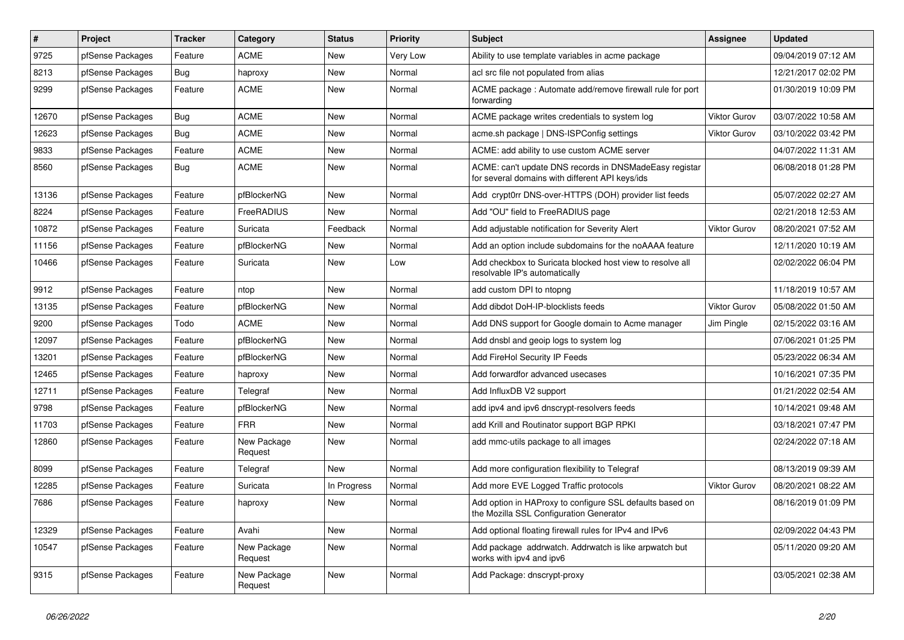| $\pmb{\#}$ | Project          | <b>Tracker</b> | Category               | <b>Status</b> | <b>Priority</b> | <b>Subject</b>                                                                                            | <b>Assignee</b>     | <b>Updated</b>      |
|------------|------------------|----------------|------------------------|---------------|-----------------|-----------------------------------------------------------------------------------------------------------|---------------------|---------------------|
| 9725       | pfSense Packages | Feature        | <b>ACME</b>            | <b>New</b>    | <b>Very Low</b> | Ability to use template variables in acme package                                                         |                     | 09/04/2019 07:12 AM |
| 8213       | pfSense Packages | Bug            | haproxy                | New           | Normal          | acl src file not populated from alias                                                                     |                     | 12/21/2017 02:02 PM |
| 9299       | pfSense Packages | Feature        | <b>ACME</b>            | New           | Normal          | ACME package: Automate add/remove firewall rule for port<br>forwarding                                    |                     | 01/30/2019 10:09 PM |
| 12670      | pfSense Packages | Bug            | <b>ACME</b>            | New           | Normal          | ACME package writes credentials to system log                                                             | <b>Viktor Gurov</b> | 03/07/2022 10:58 AM |
| 12623      | pfSense Packages | Bug            | <b>ACME</b>            | New           | Normal          | acme.sh package   DNS-ISPConfig settings                                                                  | <b>Viktor Gurov</b> | 03/10/2022 03:42 PM |
| 9833       | pfSense Packages | Feature        | <b>ACME</b>            | New           | Normal          | ACME: add ability to use custom ACME server                                                               |                     | 04/07/2022 11:31 AM |
| 8560       | pfSense Packages | Bug            | <b>ACME</b>            | New           | Normal          | ACME: can't update DNS records in DNSMadeEasy registar<br>for several domains with different API keys/ids |                     | 06/08/2018 01:28 PM |
| 13136      | pfSense Packages | Feature        | pfBlockerNG            | <b>New</b>    | Normal          | Add crypt0rr DNS-over-HTTPS (DOH) provider list feeds                                                     |                     | 05/07/2022 02:27 AM |
| 8224       | pfSense Packages | Feature        | FreeRADIUS             | <b>New</b>    | Normal          | Add "OU" field to FreeRADIUS page                                                                         |                     | 02/21/2018 12:53 AM |
| 10872      | pfSense Packages | Feature        | Suricata               | Feedback      | Normal          | Add adjustable notification for Severity Alert                                                            | <b>Viktor Gurov</b> | 08/20/2021 07:52 AM |
| 11156      | pfSense Packages | Feature        | pfBlockerNG            | New           | Normal          | Add an option include subdomains for the noAAAA feature                                                   |                     | 12/11/2020 10:19 AM |
| 10466      | pfSense Packages | Feature        | Suricata               | New           | Low             | Add checkbox to Suricata blocked host view to resolve all<br>resolvable IP's automatically                |                     | 02/02/2022 06:04 PM |
| 9912       | pfSense Packages | Feature        | ntop                   | New           | Normal          | add custom DPI to ntopng                                                                                  |                     | 11/18/2019 10:57 AM |
| 13135      | pfSense Packages | Feature        | pfBlockerNG            | New           | Normal          | Add dibdot DoH-IP-blocklists feeds                                                                        | <b>Viktor Gurov</b> | 05/08/2022 01:50 AM |
| 9200       | pfSense Packages | Todo           | <b>ACME</b>            | New           | Normal          | Add DNS support for Google domain to Acme manager                                                         | Jim Pingle          | 02/15/2022 03:16 AM |
| 12097      | pfSense Packages | Feature        | pfBlockerNG            | New           | Normal          | Add dnsbl and geoip logs to system log                                                                    |                     | 07/06/2021 01:25 PM |
| 13201      | pfSense Packages | Feature        | pfBlockerNG            | New           | Normal          | Add FireHol Security IP Feeds                                                                             |                     | 05/23/2022 06:34 AM |
| 12465      | pfSense Packages | Feature        | haproxy                | New           | Normal          | Add forwardfor advanced usecases                                                                          |                     | 10/16/2021 07:35 PM |
| 12711      | pfSense Packages | Feature        | Telegraf               | New           | Normal          | Add InfluxDB V2 support                                                                                   |                     | 01/21/2022 02:54 AM |
| 9798       | pfSense Packages | Feature        | pfBlockerNG            | New           | Normal          | add ipv4 and ipv6 dnscrypt-resolvers feeds                                                                |                     | 10/14/2021 09:48 AM |
| 11703      | pfSense Packages | Feature        | <b>FRR</b>             | New           | Normal          | add Krill and Routinator support BGP RPKI                                                                 |                     | 03/18/2021 07:47 PM |
| 12860      | pfSense Packages | Feature        | New Package<br>Request | New           | Normal          | add mmc-utils package to all images                                                                       |                     | 02/24/2022 07:18 AM |
| 8099       | pfSense Packages | Feature        | Telegraf               | <b>New</b>    | Normal          | Add more configuration flexibility to Telegraf                                                            |                     | 08/13/2019 09:39 AM |
| 12285      | pfSense Packages | Feature        | Suricata               | In Progress   | Normal          | Add more EVE Logged Traffic protocols                                                                     | <b>Viktor Gurov</b> | 08/20/2021 08:22 AM |
| 7686       | pfSense Packages | Feature        | haproxy                | New           | Normal          | Add option in HAProxy to configure SSL defaults based on<br>the Mozilla SSL Configuration Generator       |                     | 08/16/2019 01:09 PM |
| 12329      | pfSense Packages | Feature        | Avahi                  | New           | Normal          | Add optional floating firewall rules for IPv4 and IPv6                                                    |                     | 02/09/2022 04:43 PM |
| 10547      | pfSense Packages | Feature        | New Package<br>Request | New           | Normal          | Add package addrwatch. Addrwatch is like arpwatch but<br>works with ipv4 and ipv6                         |                     | 05/11/2020 09:20 AM |
| 9315       | pfSense Packages | Feature        | New Package<br>Request | New           | Normal          | Add Package: dnscrypt-proxy                                                                               |                     | 03/05/2021 02:38 AM |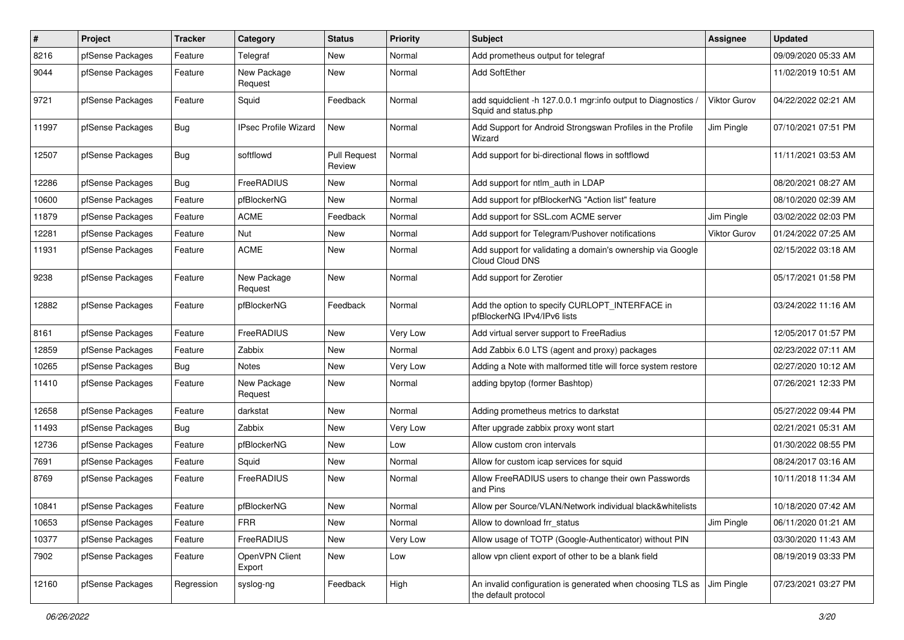| $\vert$ # | Project          | <b>Tracker</b> | Category                    | <b>Status</b>                 | <b>Priority</b> | <b>Subject</b>                                                                        | Assignee            | <b>Updated</b>      |
|-----------|------------------|----------------|-----------------------------|-------------------------------|-----------------|---------------------------------------------------------------------------------------|---------------------|---------------------|
| 8216      | pfSense Packages | Feature        | Telegraf                    | New                           | Normal          | Add prometheus output for telegraf                                                    |                     | 09/09/2020 05:33 AM |
| 9044      | pfSense Packages | Feature        | New Package<br>Request      | <b>New</b>                    | Normal          | Add SoftEther                                                                         |                     | 11/02/2019 10:51 AM |
| 9721      | pfSense Packages | Feature        | Squid                       | Feedback                      | Normal          | add squidclient -h 127.0.0.1 mgr:info output to Diagnostics /<br>Squid and status.php | <b>Viktor Gurov</b> | 04/22/2022 02:21 AM |
| 11997     | pfSense Packages | <b>Bug</b>     | <b>IPsec Profile Wizard</b> | New                           | Normal          | Add Support for Android Strongswan Profiles in the Profile<br>Wizard                  | Jim Pingle          | 07/10/2021 07:51 PM |
| 12507     | pfSense Packages | <b>Bug</b>     | softflowd                   | <b>Pull Request</b><br>Review | Normal          | Add support for bi-directional flows in softflowd                                     |                     | 11/11/2021 03:53 AM |
| 12286     | pfSense Packages | <b>Bug</b>     | FreeRADIUS                  | New                           | Normal          | Add support for ntlm auth in LDAP                                                     |                     | 08/20/2021 08:27 AM |
| 10600     | pfSense Packages | Feature        | pfBlockerNG                 | <b>New</b>                    | Normal          | Add support for pfBlockerNG "Action list" feature                                     |                     | 08/10/2020 02:39 AM |
| 11879     | pfSense Packages | Feature        | <b>ACME</b>                 | Feedback                      | Normal          | Add support for SSL.com ACME server                                                   | Jim Pingle          | 03/02/2022 02:03 PM |
| 12281     | pfSense Packages | Feature        | Nut                         | New                           | Normal          | Add support for Telegram/Pushover notifications                                       | <b>Viktor Gurov</b> | 01/24/2022 07:25 AM |
| 11931     | pfSense Packages | Feature        | <b>ACME</b>                 | New                           | Normal          | Add support for validating a domain's ownership via Google<br>Cloud Cloud DNS         |                     | 02/15/2022 03:18 AM |
| 9238      | pfSense Packages | Feature        | New Package<br>Request      | <b>New</b>                    | Normal          | Add support for Zerotier                                                              |                     | 05/17/2021 01:58 PM |
| 12882     | pfSense Packages | Feature        | pfBlockerNG                 | Feedback                      | Normal          | Add the option to specify CURLOPT_INTERFACE in<br>pfBlockerNG IPv4/IPv6 lists         |                     | 03/24/2022 11:16 AM |
| 8161      | pfSense Packages | Feature        | FreeRADIUS                  | New                           | Very Low        | Add virtual server support to FreeRadius                                              |                     | 12/05/2017 01:57 PM |
| 12859     | pfSense Packages | Feature        | Zabbix                      | <b>New</b>                    | Normal          | Add Zabbix 6.0 LTS (agent and proxy) packages                                         |                     | 02/23/2022 07:11 AM |
| 10265     | pfSense Packages | Bug            | Notes                       | New                           | Very Low        | Adding a Note with malformed title will force system restore                          |                     | 02/27/2020 10:12 AM |
| 11410     | pfSense Packages | Feature        | New Package<br>Request      | <b>New</b>                    | Normal          | adding bpytop (former Bashtop)                                                        |                     | 07/26/2021 12:33 PM |
| 12658     | pfSense Packages | Feature        | darkstat                    | New                           | Normal          | Adding prometheus metrics to darkstat                                                 |                     | 05/27/2022 09:44 PM |
| 11493     | pfSense Packages | <b>Bug</b>     | Zabbix                      | New                           | Very Low        | After upgrade zabbix proxy wont start                                                 |                     | 02/21/2021 05:31 AM |
| 12736     | pfSense Packages | Feature        | pfBlockerNG                 | <b>New</b>                    | Low             | Allow custom cron intervals                                                           |                     | 01/30/2022 08:55 PM |
| 7691      | pfSense Packages | Feature        | Squid                       | New                           | Normal          | Allow for custom icap services for squid                                              |                     | 08/24/2017 03:16 AM |
| 8769      | pfSense Packages | Feature        | <b>FreeRADIUS</b>           | New                           | Normal          | Allow FreeRADIUS users to change their own Passwords<br>and Pins                      |                     | 10/11/2018 11:34 AM |
| 10841     | pfSense Packages | Feature        | pfBlockerNG                 | <b>New</b>                    | Normal          | Allow per Source/VLAN/Network individual black&whitelists                             |                     | 10/18/2020 07:42 AM |
| 10653     | pfSense Packages | Feature        | <b>FRR</b>                  | <b>New</b>                    | Normal          | Allow to download frr status                                                          | Jim Pingle          | 06/11/2020 01:21 AM |
| 10377     | pfSense Packages | Feature        | FreeRADIUS                  | New                           | Very Low        | Allow usage of TOTP (Google-Authenticator) without PIN                                |                     | 03/30/2020 11:43 AM |
| 7902      | pfSense Packages | Feature        | OpenVPN Client<br>Export    | New                           | Low             | allow vpn client export of other to be a blank field                                  |                     | 08/19/2019 03:33 PM |
| 12160     | pfSense Packages | Regression     | syslog-ng                   | Feedback                      | High            | An invalid configuration is generated when choosing TLS as<br>the default protocol    | Jim Pingle          | 07/23/2021 03:27 PM |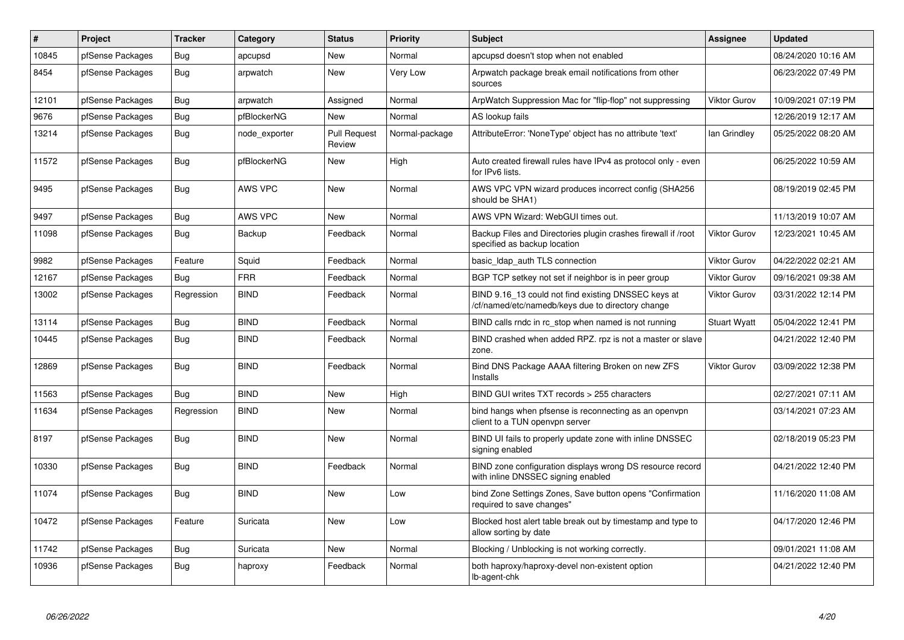| $\sharp$ | <b>Project</b>   | <b>Tracker</b> | Category       | <b>Status</b>                 | <b>Priority</b> | <b>Subject</b>                                                                                           | Assignee            | <b>Updated</b>      |
|----------|------------------|----------------|----------------|-------------------------------|-----------------|----------------------------------------------------------------------------------------------------------|---------------------|---------------------|
| 10845    | pfSense Packages | Bug            | apcupsd        | <b>New</b>                    | Normal          | apcupsd doesn't stop when not enabled                                                                    |                     | 08/24/2020 10:16 AM |
| 8454     | pfSense Packages | Bug            | arpwatch       | New                           | Very Low        | Arpwatch package break email notifications from other<br>sources                                         |                     | 06/23/2022 07:49 PM |
| 12101    | pfSense Packages | Bug            | arpwatch       | Assigned                      | Normal          | ArpWatch Suppression Mac for "flip-flop" not suppressing                                                 | <b>Viktor Gurov</b> | 10/09/2021 07:19 PM |
| 9676     | pfSense Packages | <b>Bug</b>     | pfBlockerNG    | <b>New</b>                    | Normal          | AS lookup fails                                                                                          |                     | 12/26/2019 12:17 AM |
| 13214    | pfSense Packages | <b>Bug</b>     | node exporter  | <b>Pull Request</b><br>Review | Normal-package  | AttributeError: 'NoneType' object has no attribute 'text'                                                | lan Grindley        | 05/25/2022 08:20 AM |
| 11572    | pfSense Packages | <b>Bug</b>     | pfBlockerNG    | <b>New</b>                    | High            | Auto created firewall rules have IPv4 as protocol only - even<br>for IPv6 lists.                         |                     | 06/25/2022 10:59 AM |
| 9495     | pfSense Packages | Bug            | <b>AWS VPC</b> | <b>New</b>                    | Normal          | AWS VPC VPN wizard produces incorrect config (SHA256<br>should be SHA1)                                  |                     | 08/19/2019 02:45 PM |
| 9497     | pfSense Packages | Bug            | AWS VPC        | New                           | Normal          | AWS VPN Wizard: WebGUI times out.                                                                        |                     | 11/13/2019 10:07 AM |
| 11098    | pfSense Packages | Bug            | Backup         | Feedback                      | Normal          | Backup Files and Directories plugin crashes firewall if /root<br>specified as backup location            | <b>Viktor Gurov</b> | 12/23/2021 10:45 AM |
| 9982     | pfSense Packages | Feature        | Squid          | Feedback                      | Normal          | basic_Idap_auth TLS connection                                                                           | <b>Viktor Gurov</b> | 04/22/2022 02:21 AM |
| 12167    | pfSense Packages | Bug            | <b>FRR</b>     | Feedback                      | Normal          | BGP TCP setkey not set if neighbor is in peer group                                                      | <b>Viktor Gurov</b> | 09/16/2021 09:38 AM |
| 13002    | pfSense Packages | Regression     | <b>BIND</b>    | Feedback                      | Normal          | BIND 9.16_13 could not find existing DNSSEC keys at<br>/cf/named/etc/namedb/keys due to directory change | <b>Viktor Gurov</b> | 03/31/2022 12:14 PM |
| 13114    | pfSense Packages | Bug            | <b>BIND</b>    | Feedback                      | Normal          | BIND calls rndc in rc stop when named is not running                                                     | <b>Stuart Wyatt</b> | 05/04/2022 12:41 PM |
| 10445    | pfSense Packages | <b>Bug</b>     | <b>BIND</b>    | Feedback                      | Normal          | BIND crashed when added RPZ. rpz is not a master or slave<br>zone.                                       |                     | 04/21/2022 12:40 PM |
| 12869    | pfSense Packages | Bug            | <b>BIND</b>    | Feedback                      | Normal          | Bind DNS Package AAAA filtering Broken on new ZFS<br>Installs                                            | <b>Viktor Gurov</b> | 03/09/2022 12:38 PM |
| 11563    | pfSense Packages | Bug            | <b>BIND</b>    | New                           | High            | BIND GUI writes TXT records > 255 characters                                                             |                     | 02/27/2021 07:11 AM |
| 11634    | pfSense Packages | Regression     | <b>BIND</b>    | New                           | Normal          | bind hangs when pfsense is reconnecting as an openypn<br>client to a TUN openvpn server                  |                     | 03/14/2021 07:23 AM |
| 8197     | pfSense Packages | Bug            | <b>BIND</b>    | New                           | Normal          | BIND UI fails to properly update zone with inline DNSSEC<br>signing enabled                              |                     | 02/18/2019 05:23 PM |
| 10330    | pfSense Packages | Bug            | <b>BIND</b>    | Feedback                      | Normal          | BIND zone configuration displays wrong DS resource record<br>with inline DNSSEC signing enabled          |                     | 04/21/2022 12:40 PM |
| 11074    | pfSense Packages | Bug            | <b>BIND</b>    | <b>New</b>                    | Low             | bind Zone Settings Zones, Save button opens "Confirmation<br>required to save changes"                   |                     | 11/16/2020 11:08 AM |
| 10472    | pfSense Packages | Feature        | Suricata       | <b>New</b>                    | Low             | Blocked host alert table break out by timestamp and type to<br>allow sorting by date                     |                     | 04/17/2020 12:46 PM |
| 11742    | pfSense Packages | Bug            | Suricata       | New                           | Normal          | Blocking / Unblocking is not working correctly.                                                          |                     | 09/01/2021 11:08 AM |
| 10936    | pfSense Packages | Bug            | haproxy        | Feedback                      | Normal          | both haproxy/haproxy-devel non-existent option<br>lb-agent-chk                                           |                     | 04/21/2022 12:40 PM |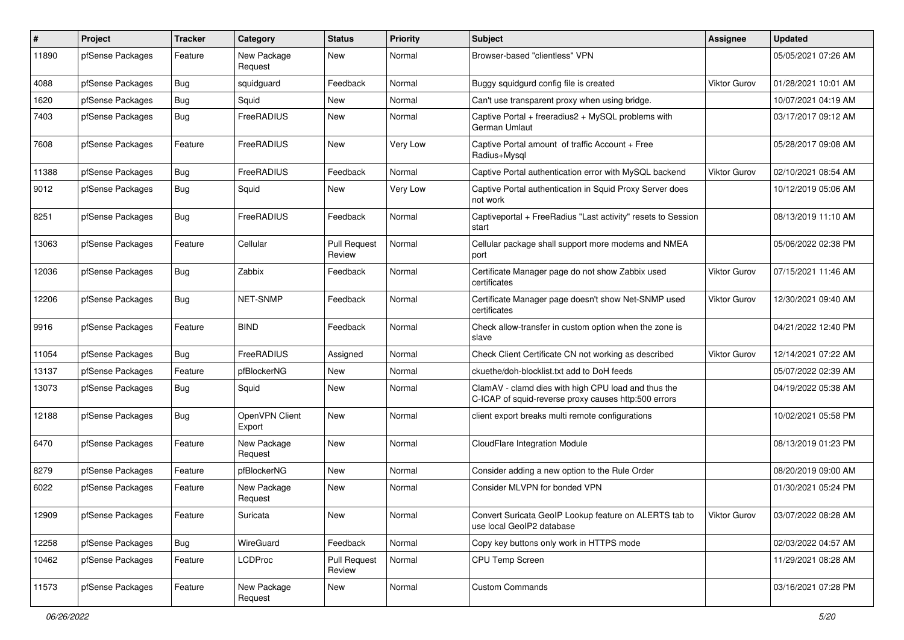| #     | Project          | <b>Tracker</b> | Category                 | <b>Status</b>                 | <b>Priority</b> | Subject                                                                                                     | <b>Assignee</b>     | <b>Updated</b>      |
|-------|------------------|----------------|--------------------------|-------------------------------|-----------------|-------------------------------------------------------------------------------------------------------------|---------------------|---------------------|
| 11890 | pfSense Packages | Feature        | New Package<br>Request   | New                           | Normal          | Browser-based "clientless" VPN                                                                              |                     | 05/05/2021 07:26 AM |
| 4088  | pfSense Packages | <b>Bug</b>     | squidguard               | Feedback                      | Normal          | Buggy squidgurd config file is created                                                                      | <b>Viktor Gurov</b> | 01/28/2021 10:01 AM |
| 1620  | pfSense Packages | <b>Bug</b>     | Squid                    | <b>New</b>                    | Normal          | Can't use transparent proxy when using bridge.                                                              |                     | 10/07/2021 04:19 AM |
| 7403  | pfSense Packages | Bug            | FreeRADIUS               | New                           | Normal          | Captive Portal + freeradius2 + MySQL problems with<br>German Umlaut                                         |                     | 03/17/2017 09:12 AM |
| 7608  | pfSense Packages | Feature        | FreeRADIUS               | <b>New</b>                    | Very Low        | Captive Portal amount of traffic Account + Free<br>Radius+Mysql                                             |                     | 05/28/2017 09:08 AM |
| 11388 | pfSense Packages | Bug            | FreeRADIUS               | Feedback                      | Normal          | Captive Portal authentication error with MySQL backend                                                      | Viktor Gurov        | 02/10/2021 08:54 AM |
| 9012  | pfSense Packages | <b>Bug</b>     | Squid                    | New                           | Very Low        | Captive Portal authentication in Squid Proxy Server does<br>not work                                        |                     | 10/12/2019 05:06 AM |
| 8251  | pfSense Packages | Bug            | FreeRADIUS               | Feedback                      | Normal          | Captiveportal + FreeRadius "Last activity" resets to Session<br>start                                       |                     | 08/13/2019 11:10 AM |
| 13063 | pfSense Packages | Feature        | Cellular                 | <b>Pull Request</b><br>Review | Normal          | Cellular package shall support more modems and NMEA<br>port                                                 |                     | 05/06/2022 02:38 PM |
| 12036 | pfSense Packages | Bug            | Zabbix                   | Feedback                      | Normal          | Certificate Manager page do not show Zabbix used<br>certificates                                            | <b>Viktor Gurov</b> | 07/15/2021 11:46 AM |
| 12206 | pfSense Packages | <b>Bug</b>     | NET-SNMP                 | Feedback                      | Normal          | Certificate Manager page doesn't show Net-SNMP used<br>certificates                                         | <b>Viktor Gurov</b> | 12/30/2021 09:40 AM |
| 9916  | pfSense Packages | Feature        | <b>BIND</b>              | Feedback                      | Normal          | Check allow-transfer in custom option when the zone is<br>slave                                             |                     | 04/21/2022 12:40 PM |
| 11054 | pfSense Packages | <b>Bug</b>     | FreeRADIUS               | Assigned                      | Normal          | Check Client Certificate CN not working as described                                                        | Viktor Gurov        | 12/14/2021 07:22 AM |
| 13137 | pfSense Packages | Feature        | pfBlockerNG              | New                           | Normal          | ckuethe/doh-blocklist.txt add to DoH feeds                                                                  |                     | 05/07/2022 02:39 AM |
| 13073 | pfSense Packages | Bug            | Squid                    | New                           | Normal          | ClamAV - clamd dies with high CPU load and thus the<br>C-ICAP of squid-reverse proxy causes http:500 errors |                     | 04/19/2022 05:38 AM |
| 12188 | pfSense Packages | <b>Bug</b>     | OpenVPN Client<br>Export | <b>New</b>                    | Normal          | client export breaks multi remote configurations                                                            |                     | 10/02/2021 05:58 PM |
| 6470  | pfSense Packages | Feature        | New Package<br>Request   | <b>New</b>                    | Normal          | CloudFlare Integration Module                                                                               |                     | 08/13/2019 01:23 PM |
| 8279  | pfSense Packages | Feature        | pfBlockerNG              | New                           | Normal          | Consider adding a new option to the Rule Order                                                              |                     | 08/20/2019 09:00 AM |
| 6022  | pfSense Packages | Feature        | New Package<br>Request   | New                           | Normal          | Consider MLVPN for bonded VPN                                                                               |                     | 01/30/2021 05:24 PM |
| 12909 | pfSense Packages | Feature        | Suricata                 | New                           | Normal          | Convert Suricata GeoIP Lookup feature on ALERTS tab to<br>use local GeoIP2 database                         | Viktor Gurov        | 03/07/2022 08:28 AM |
| 12258 | pfSense Packages | <b>Bug</b>     | WireGuard                | Feedback                      | Normal          | Copy key buttons only work in HTTPS mode                                                                    |                     | 02/03/2022 04:57 AM |
| 10462 | pfSense Packages | Feature        | <b>LCDProc</b>           | <b>Pull Request</b><br>Review | Normal          | CPU Temp Screen                                                                                             |                     | 11/29/2021 08:28 AM |
| 11573 | pfSense Packages | Feature        | New Package<br>Request   | New                           | Normal          | <b>Custom Commands</b>                                                                                      |                     | 03/16/2021 07:28 PM |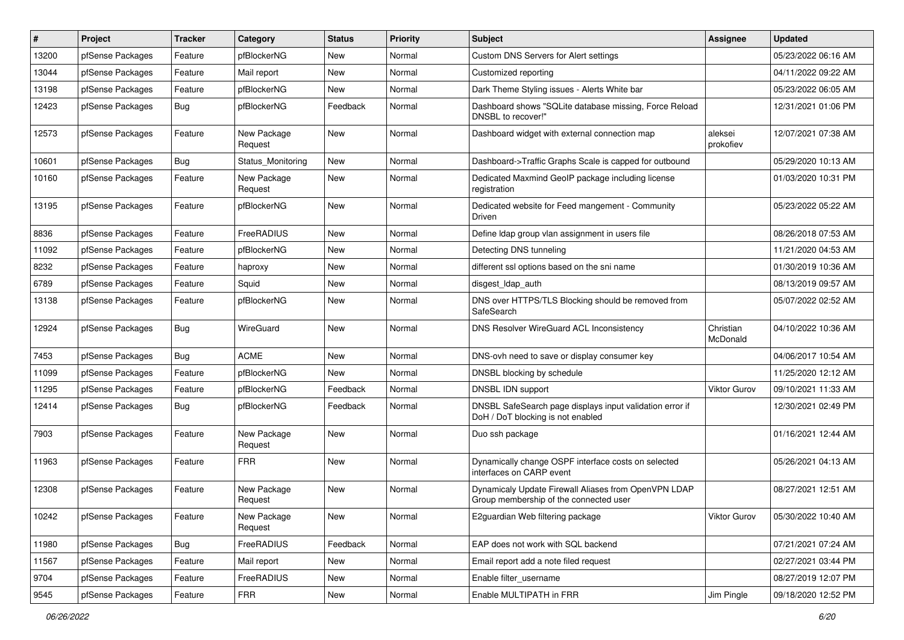| #     | Project          | <b>Tracker</b> | Category               | <b>Status</b> | <b>Priority</b> | <b>Subject</b>                                                                                 | <b>Assignee</b>       | <b>Updated</b>      |
|-------|------------------|----------------|------------------------|---------------|-----------------|------------------------------------------------------------------------------------------------|-----------------------|---------------------|
| 13200 | pfSense Packages | Feature        | pfBlockerNG            | New           | Normal          | Custom DNS Servers for Alert settings                                                          |                       | 05/23/2022 06:16 AM |
| 13044 | pfSense Packages | Feature        | Mail report            | <b>New</b>    | Normal          | Customized reporting                                                                           |                       | 04/11/2022 09:22 AM |
| 13198 | pfSense Packages | Feature        | pfBlockerNG            | New           | Normal          | Dark Theme Styling issues - Alerts White bar                                                   |                       | 05/23/2022 06:05 AM |
| 12423 | pfSense Packages | Bug            | pfBlockerNG            | Feedback      | Normal          | Dashboard shows "SQLite database missing, Force Reload<br>DNSBL to recover!"                   |                       | 12/31/2021 01:06 PM |
| 12573 | pfSense Packages | Feature        | New Package<br>Request | <b>New</b>    | Normal          | Dashboard widget with external connection map                                                  | aleksei<br>prokofiev  | 12/07/2021 07:38 AM |
| 10601 | pfSense Packages | <b>Bug</b>     | Status_Monitoring      | New           | Normal          | Dashboard->Traffic Graphs Scale is capped for outbound                                         |                       | 05/29/2020 10:13 AM |
| 10160 | pfSense Packages | Feature        | New Package<br>Request | New           | Normal          | Dedicated Maxmind GeoIP package including license<br>registration                              |                       | 01/03/2020 10:31 PM |
| 13195 | pfSense Packages | Feature        | pfBlockerNG            | New           | Normal          | Dedicated website for Feed mangement - Community<br>Driven                                     |                       | 05/23/2022 05:22 AM |
| 8836  | pfSense Packages | Feature        | FreeRADIUS             | New           | Normal          | Define Idap group vlan assignment in users file                                                |                       | 08/26/2018 07:53 AM |
| 11092 | pfSense Packages | Feature        | pfBlockerNG            | New           | Normal          | Detecting DNS tunneling                                                                        |                       | 11/21/2020 04:53 AM |
| 8232  | pfSense Packages | Feature        | haproxy                | New           | Normal          | different ssl options based on the sni name                                                    |                       | 01/30/2019 10:36 AM |
| 6789  | pfSense Packages | Feature        | Squid                  | New           | Normal          | disgest_ldap_auth                                                                              |                       | 08/13/2019 09:57 AM |
| 13138 | pfSense Packages | Feature        | pfBlockerNG            | New           | Normal          | DNS over HTTPS/TLS Blocking should be removed from<br>SafeSearch                               |                       | 05/07/2022 02:52 AM |
| 12924 | pfSense Packages | Bug            | WireGuard              | <b>New</b>    | Normal          | DNS Resolver WireGuard ACL Inconsistency                                                       | Christian<br>McDonald | 04/10/2022 10:36 AM |
| 7453  | pfSense Packages | Bug            | <b>ACME</b>            | New           | Normal          | DNS-ovh need to save or display consumer key                                                   |                       | 04/06/2017 10:54 AM |
| 11099 | pfSense Packages | Feature        | pfBlockerNG            | New           | Normal          | DNSBL blocking by schedule                                                                     |                       | 11/25/2020 12:12 AM |
| 11295 | pfSense Packages | Feature        | pfBlockerNG            | Feedback      | Normal          | DNSBL IDN support                                                                              | <b>Viktor Gurov</b>   | 09/10/2021 11:33 AM |
| 12414 | pfSense Packages | <b>Bug</b>     | pfBlockerNG            | Feedback      | Normal          | DNSBL SafeSearch page displays input validation error if<br>DoH / DoT blocking is not enabled  |                       | 12/30/2021 02:49 PM |
| 7903  | pfSense Packages | Feature        | New Package<br>Request | New           | Normal          | Duo ssh package                                                                                |                       | 01/16/2021 12:44 AM |
| 11963 | pfSense Packages | Feature        | <b>FRR</b>             | New           | Normal          | Dynamically change OSPF interface costs on selected<br>interfaces on CARP event                |                       | 05/26/2021 04:13 AM |
| 12308 | pfSense Packages | Feature        | New Package<br>Request | New           | Normal          | Dynamicaly Update Firewall Aliases from OpenVPN LDAP<br>Group membership of the connected user |                       | 08/27/2021 12:51 AM |
| 10242 | pfSense Packages | Feature        | New Package<br>Request | New           | Normal          | E2guardian Web filtering package                                                               | Viktor Gurov          | 05/30/2022 10:40 AM |
| 11980 | pfSense Packages | <b>Bug</b>     | FreeRADIUS             | Feedback      | Normal          | EAP does not work with SQL backend                                                             |                       | 07/21/2021 07:24 AM |
| 11567 | pfSense Packages | Feature        | Mail report            | New           | Normal          | Email report add a note filed request                                                          |                       | 02/27/2021 03:44 PM |
| 9704  | pfSense Packages | Feature        | FreeRADIUS             | New           | Normal          | Enable filter username                                                                         |                       | 08/27/2019 12:07 PM |
| 9545  | pfSense Packages | Feature        | <b>FRR</b>             | New           | Normal          | Enable MULTIPATH in FRR                                                                        | Jim Pingle            | 09/18/2020 12:52 PM |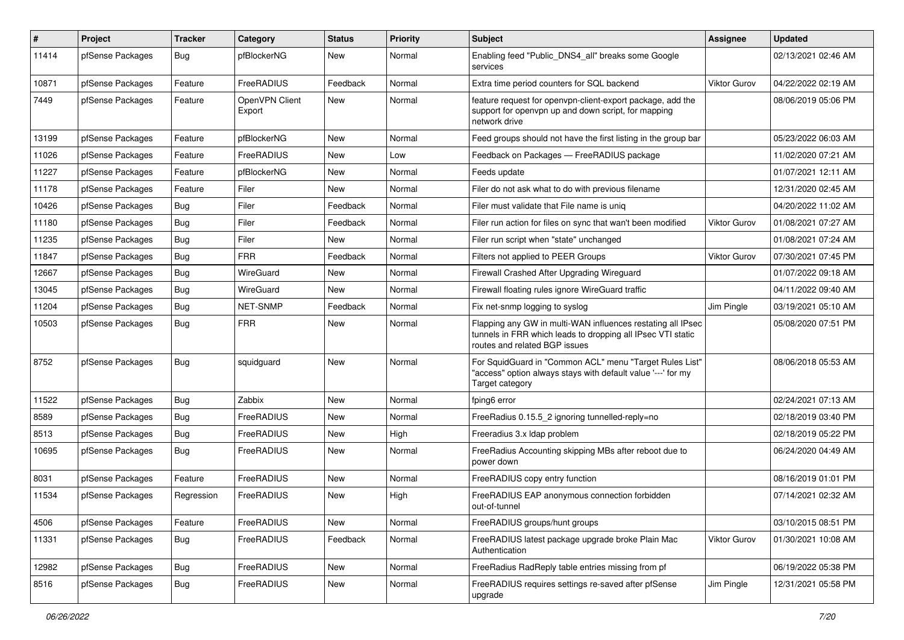| $\pmb{\#}$ | Project          | <b>Tracker</b> | Category                 | <b>Status</b> | <b>Priority</b> | <b>Subject</b>                                                                                                                                              | <b>Assignee</b> | <b>Updated</b>      |
|------------|------------------|----------------|--------------------------|---------------|-----------------|-------------------------------------------------------------------------------------------------------------------------------------------------------------|-----------------|---------------------|
| 11414      | pfSense Packages | <b>Bug</b>     | pfBlockerNG              | New           | Normal          | Enabling feed "Public DNS4 all" breaks some Google<br>services                                                                                              |                 | 02/13/2021 02:46 AM |
| 10871      | pfSense Packages | Feature        | FreeRADIUS               | Feedback      | Normal          | Extra time period counters for SQL backend                                                                                                                  | Viktor Gurov    | 04/22/2022 02:19 AM |
| 7449       | pfSense Packages | Feature        | OpenVPN Client<br>Export | <b>New</b>    | Normal          | feature request for openypn-client-export package, add the<br>support for openypn up and down script, for mapping<br>network drive                          |                 | 08/06/2019 05:06 PM |
| 13199      | pfSense Packages | Feature        | pfBlockerNG              | <b>New</b>    | Normal          | Feed groups should not have the first listing in the group bar                                                                                              |                 | 05/23/2022 06:03 AM |
| 11026      | pfSense Packages | Feature        | FreeRADIUS               | <b>New</b>    | Low             | Feedback on Packages - FreeRADIUS package                                                                                                                   |                 | 11/02/2020 07:21 AM |
| 11227      | pfSense Packages | Feature        | pfBlockerNG              | New           | Normal          | Feeds update                                                                                                                                                |                 | 01/07/2021 12:11 AM |
| 11178      | pfSense Packages | Feature        | Filer                    | New           | Normal          | Filer do not ask what to do with previous filename                                                                                                          |                 | 12/31/2020 02:45 AM |
| 10426      | pfSense Packages | <b>Bug</b>     | Filer                    | Feedback      | Normal          | Filer must validate that File name is unig                                                                                                                  |                 | 04/20/2022 11:02 AM |
| 11180      | pfSense Packages | Bug            | Filer                    | Feedback      | Normal          | Filer run action for files on sync that wan't been modified                                                                                                 | Viktor Gurov    | 01/08/2021 07:27 AM |
| 11235      | pfSense Packages | <b>Bug</b>     | Filer                    | <b>New</b>    | Normal          | Filer run script when "state" unchanged                                                                                                                     |                 | 01/08/2021 07:24 AM |
| 11847      | pfSense Packages | <b>Bug</b>     | <b>FRR</b>               | Feedback      | Normal          | Filters not applied to PEER Groups                                                                                                                          | Viktor Gurov    | 07/30/2021 07:45 PM |
| 12667      | pfSense Packages | <b>Bug</b>     | WireGuard                | New           | Normal          | Firewall Crashed After Upgrading Wireguard                                                                                                                  |                 | 01/07/2022 09:18 AM |
| 13045      | pfSense Packages | <b>Bug</b>     | WireGuard                | New           | Normal          | Firewall floating rules ignore WireGuard traffic                                                                                                            |                 | 04/11/2022 09:40 AM |
| 11204      | pfSense Packages | <b>Bug</b>     | NET-SNMP                 | Feedback      | Normal          | Fix net-snmp logging to syslog                                                                                                                              | Jim Pingle      | 03/19/2021 05:10 AM |
| 10503      | pfSense Packages | Bug            | <b>FRR</b>               | New           | Normal          | Flapping any GW in multi-WAN influences restating all IPsec<br>tunnels in FRR which leads to dropping all IPsec VTI static<br>routes and related BGP issues |                 | 05/08/2020 07:51 PM |
| 8752       | pfSense Packages | Bug            | squidguard               | <b>New</b>    | Normal          | For SquidGuard in "Common ACL" menu "Target Rules List"<br>"access" option always stays with default value '---' for my<br>Target category                  |                 | 08/06/2018 05:53 AM |
| 11522      | pfSense Packages | Bug            | Zabbix                   | <b>New</b>    | Normal          | fping6 error                                                                                                                                                |                 | 02/24/2021 07:13 AM |
| 8589       | pfSense Packages | Bug            | FreeRADIUS               | New           | Normal          | FreeRadius 0.15.5 2 ignoring tunnelled-reply=no                                                                                                             |                 | 02/18/2019 03:40 PM |
| 8513       | pfSense Packages | Bug            | FreeRADIUS               | <b>New</b>    | High            | Freeradius 3.x Idap problem                                                                                                                                 |                 | 02/18/2019 05:22 PM |
| 10695      | pfSense Packages | Bug            | FreeRADIUS               | New           | Normal          | FreeRadius Accounting skipping MBs after reboot due to<br>power down                                                                                        |                 | 06/24/2020 04:49 AM |
| 8031       | pfSense Packages | Feature        | FreeRADIUS               | <b>New</b>    | Normal          | FreeRADIUS copy entry function                                                                                                                              |                 | 08/16/2019 01:01 PM |
| 11534      | pfSense Packages | Regression     | FreeRADIUS               | New           | High            | FreeRADIUS EAP anonymous connection forbidden<br>out-of-tunnel                                                                                              |                 | 07/14/2021 02:32 AM |
| 4506       | pfSense Packages | Feature        | FreeRADIUS               | New           | Normal          | FreeRADIUS groups/hunt groups                                                                                                                               |                 | 03/10/2015 08:51 PM |
| 11331      | pfSense Packages | <b>Bug</b>     | FreeRADIUS               | Feedback      | Normal          | FreeRADIUS latest package upgrade broke Plain Mac<br>Authentication                                                                                         | Viktor Gurov    | 01/30/2021 10:08 AM |
| 12982      | pfSense Packages | Bug            | FreeRADIUS               | <b>New</b>    | Normal          | FreeRadius RadReply table entries missing from pf                                                                                                           |                 | 06/19/2022 05:38 PM |
| 8516       | pfSense Packages | <b>Bug</b>     | FreeRADIUS               | New           | Normal          | FreeRADIUS requires settings re-saved after pfSense<br>upgrade                                                                                              | Jim Pingle      | 12/31/2021 05:58 PM |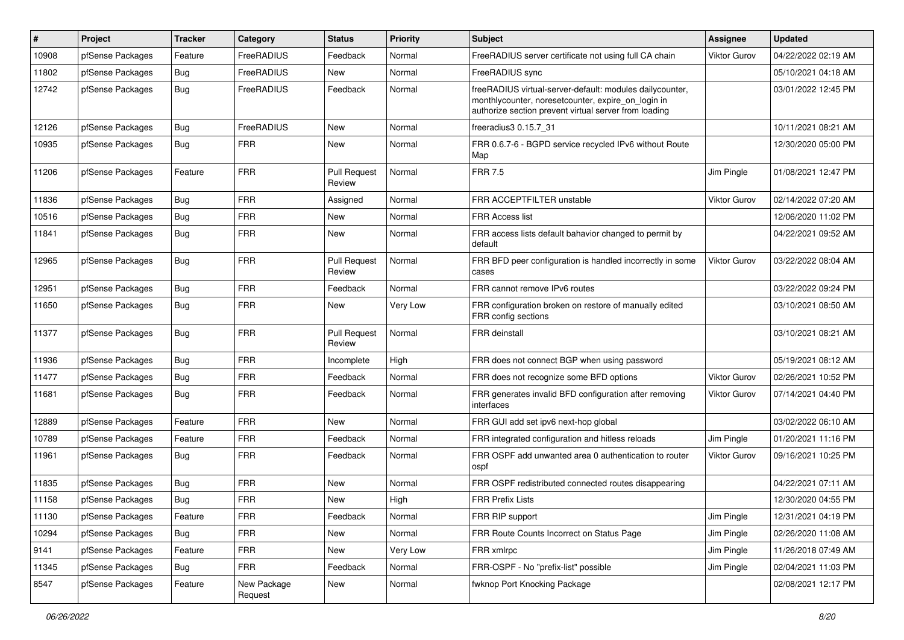| $\vert$ # | Project          | <b>Tracker</b> | Category               | <b>Status</b>                 | <b>Priority</b> | Subject                                                                                                                                                                 | <b>Assignee</b>     | <b>Updated</b>      |
|-----------|------------------|----------------|------------------------|-------------------------------|-----------------|-------------------------------------------------------------------------------------------------------------------------------------------------------------------------|---------------------|---------------------|
| 10908     | pfSense Packages | Feature        | FreeRADIUS             | Feedback                      | Normal          | FreeRADIUS server certificate not using full CA chain                                                                                                                   | <b>Viktor Gurov</b> | 04/22/2022 02:19 AM |
| 11802     | pfSense Packages | <b>Bug</b>     | FreeRADIUS             | <b>New</b>                    | Normal          | FreeRADIUS sync                                                                                                                                                         |                     | 05/10/2021 04:18 AM |
| 12742     | pfSense Packages | Bug            | FreeRADIUS             | Feedback                      | Normal          | freeRADIUS virtual-server-default: modules dailycounter,<br>monthlycounter, noresetcounter, expire_on_login in<br>authorize section prevent virtual server from loading |                     | 03/01/2022 12:45 PM |
| 12126     | pfSense Packages | Bug            | FreeRADIUS             | New                           | Normal          | freeradius3 0.15.7_31                                                                                                                                                   |                     | 10/11/2021 08:21 AM |
| 10935     | pfSense Packages | <b>Bug</b>     | <b>FRR</b>             | New                           | Normal          | FRR 0.6.7-6 - BGPD service recycled IPv6 without Route<br>Map                                                                                                           |                     | 12/30/2020 05:00 PM |
| 11206     | pfSense Packages | Feature        | <b>FRR</b>             | <b>Pull Request</b><br>Review | Normal          | <b>FRR 7.5</b>                                                                                                                                                          | Jim Pingle          | 01/08/2021 12:47 PM |
| 11836     | pfSense Packages | Bug            | <b>FRR</b>             | Assigned                      | Normal          | FRR ACCEPTFILTER unstable                                                                                                                                               | <b>Viktor Gurov</b> | 02/14/2022 07:20 AM |
| 10516     | pfSense Packages | Bug            | <b>FRR</b>             | New                           | Normal          | <b>FRR Access list</b>                                                                                                                                                  |                     | 12/06/2020 11:02 PM |
| 11841     | pfSense Packages | <b>Bug</b>     | <b>FRR</b>             | New                           | Normal          | FRR access lists default bahavior changed to permit by<br>default                                                                                                       |                     | 04/22/2021 09:52 AM |
| 12965     | pfSense Packages | Bug            | <b>FRR</b>             | <b>Pull Request</b><br>Review | Normal          | FRR BFD peer configuration is handled incorrectly in some<br>cases                                                                                                      | <b>Viktor Gurov</b> | 03/22/2022 08:04 AM |
| 12951     | pfSense Packages | Bug            | <b>FRR</b>             | Feedback                      | Normal          | FRR cannot remove IPv6 routes                                                                                                                                           |                     | 03/22/2022 09:24 PM |
| 11650     | pfSense Packages | Bug            | <b>FRR</b>             | New                           | Very Low        | FRR configuration broken on restore of manually edited<br>FRR config sections                                                                                           |                     | 03/10/2021 08:50 AM |
| 11377     | pfSense Packages | Bug            | <b>FRR</b>             | <b>Pull Request</b><br>Review | Normal          | <b>FRR</b> deinstall                                                                                                                                                    |                     | 03/10/2021 08:21 AM |
| 11936     | pfSense Packages | Bug            | <b>FRR</b>             | Incomplete                    | High            | FRR does not connect BGP when using password                                                                                                                            |                     | 05/19/2021 08:12 AM |
| 11477     | pfSense Packages | <b>Bug</b>     | <b>FRR</b>             | Feedback                      | Normal          | FRR does not recognize some BFD options                                                                                                                                 | <b>Viktor Gurov</b> | 02/26/2021 10:52 PM |
| 11681     | pfSense Packages | Bug            | <b>FRR</b>             | Feedback                      | Normal          | FRR generates invalid BFD configuration after removing<br>interfaces                                                                                                    | Viktor Gurov        | 07/14/2021 04:40 PM |
| 12889     | pfSense Packages | Feature        | <b>FRR</b>             | New                           | Normal          | FRR GUI add set ipv6 next-hop global                                                                                                                                    |                     | 03/02/2022 06:10 AM |
| 10789     | pfSense Packages | Feature        | <b>FRR</b>             | Feedback                      | Normal          | FRR integrated configuration and hitless reloads                                                                                                                        | Jim Pingle          | 01/20/2021 11:16 PM |
| 11961     | pfSense Packages | Bug            | <b>FRR</b>             | Feedback                      | Normal          | FRR OSPF add unwanted area 0 authentication to router<br>ospf                                                                                                           | Viktor Gurov        | 09/16/2021 10:25 PM |
| 11835     | pfSense Packages | Bug            | <b>FRR</b>             | New                           | Normal          | FRR OSPF redistributed connected routes disappearing                                                                                                                    |                     | 04/22/2021 07:11 AM |
| 11158     | pfSense Packages | <b>Bug</b>     | <b>FRR</b>             | New                           | High            | <b>FRR Prefix Lists</b>                                                                                                                                                 |                     | 12/30/2020 04:55 PM |
| 11130     | pfSense Packages | Feature        | <b>FRR</b>             | Feedback                      | Normal          | FRR RIP support                                                                                                                                                         | Jim Pingle          | 12/31/2021 04:19 PM |
| 10294     | pfSense Packages | Bug            | <b>FRR</b>             | New                           | Normal          | FRR Route Counts Incorrect on Status Page                                                                                                                               | Jim Pingle          | 02/26/2020 11:08 AM |
| 9141      | pfSense Packages | Feature        | <b>FRR</b>             | New                           | Very Low        | FRR xmlrpc                                                                                                                                                              | Jim Pingle          | 11/26/2018 07:49 AM |
| 11345     | pfSense Packages | Bug            | <b>FRR</b>             | Feedback                      | Normal          | FRR-OSPF - No "prefix-list" possible                                                                                                                                    | Jim Pingle          | 02/04/2021 11:03 PM |
| 8547      | pfSense Packages | Feature        | New Package<br>Request | New                           | Normal          | fwknop Port Knocking Package                                                                                                                                            |                     | 02/08/2021 12:17 PM |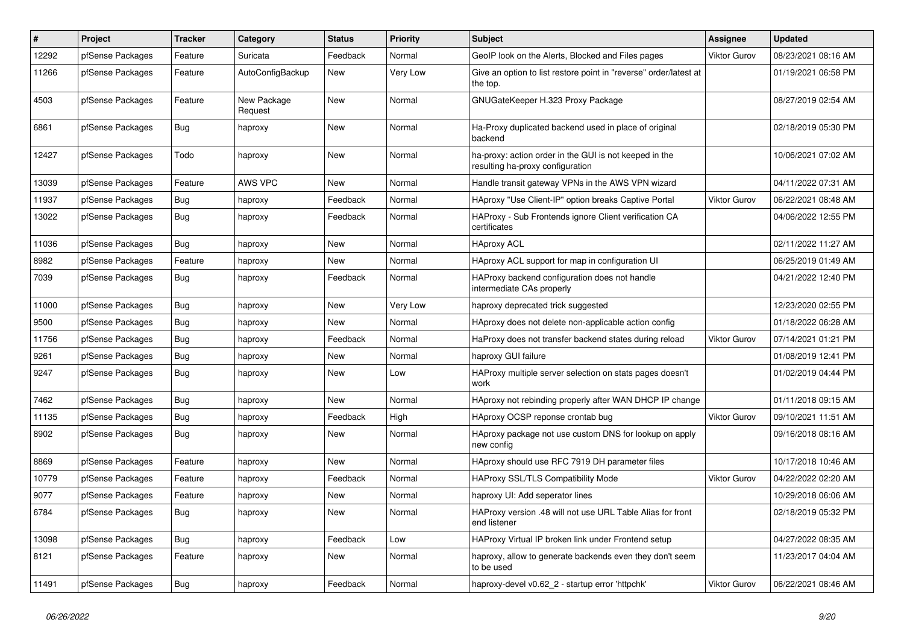| $\#$  | <b>Project</b>   | <b>Tracker</b> | Category               | <b>Status</b> | <b>Priority</b> | <b>Subject</b>                                                                             | <b>Assignee</b>     | <b>Updated</b>      |
|-------|------------------|----------------|------------------------|---------------|-----------------|--------------------------------------------------------------------------------------------|---------------------|---------------------|
| 12292 | pfSense Packages | Feature        | Suricata               | Feedback      | Normal          | GeoIP look on the Alerts, Blocked and Files pages                                          | <b>Viktor Gurov</b> | 08/23/2021 08:16 AM |
| 11266 | pfSense Packages | Feature        | AutoConfigBackup       | <b>New</b>    | Very Low        | Give an option to list restore point in "reverse" order/latest at<br>the top.              |                     | 01/19/2021 06:58 PM |
| 4503  | pfSense Packages | Feature        | New Package<br>Request | New           | Normal          | GNUGateKeeper H.323 Proxy Package                                                          |                     | 08/27/2019 02:54 AM |
| 6861  | pfSense Packages | Bug            | haproxy                | <b>New</b>    | Normal          | Ha-Proxy duplicated backend used in place of original<br>backend                           |                     | 02/18/2019 05:30 PM |
| 12427 | pfSense Packages | Todo           | haproxy                | New           | Normal          | ha-proxy: action order in the GUI is not keeped in the<br>resulting ha-proxy configuration |                     | 10/06/2021 07:02 AM |
| 13039 | pfSense Packages | Feature        | AWS VPC                | New           | Normal          | Handle transit gateway VPNs in the AWS VPN wizard                                          |                     | 04/11/2022 07:31 AM |
| 11937 | pfSense Packages | Bug            | haproxy                | Feedback      | Normal          | HAproxy "Use Client-IP" option breaks Captive Portal                                       | Viktor Gurov        | 06/22/2021 08:48 AM |
| 13022 | pfSense Packages | Bug            | haproxy                | Feedback      | Normal          | HAProxy - Sub Frontends ignore Client verification CA<br>certificates                      |                     | 04/06/2022 12:55 PM |
| 11036 | pfSense Packages | <b>Bug</b>     | haproxy                | <b>New</b>    | Normal          | <b>HAproxy ACL</b>                                                                         |                     | 02/11/2022 11:27 AM |
| 8982  | pfSense Packages | Feature        | haproxy                | New           | Normal          | HAproxy ACL support for map in configuration UI                                            |                     | 06/25/2019 01:49 AM |
| 7039  | pfSense Packages | <b>Bug</b>     | haproxy                | Feedback      | Normal          | HAProxy backend configuration does not handle<br>intermediate CAs properly                 |                     | 04/21/2022 12:40 PM |
| 11000 | pfSense Packages | <b>Bug</b>     | haproxy                | New           | Very Low        | haproxy deprecated trick suggested                                                         |                     | 12/23/2020 02:55 PM |
| 9500  | pfSense Packages | Bug            | haproxy                | New           | Normal          | HAproxy does not delete non-applicable action config                                       |                     | 01/18/2022 06:28 AM |
| 11756 | pfSense Packages | Bug            | haproxy                | Feedback      | Normal          | HaProxy does not transfer backend states during reload                                     | Viktor Gurov        | 07/14/2021 01:21 PM |
| 9261  | pfSense Packages | Bug            | haproxy                | New           | Normal          | haproxy GUI failure                                                                        |                     | 01/08/2019 12:41 PM |
| 9247  | pfSense Packages | Bug            | haproxy                | New           | Low             | HAProxy multiple server selection on stats pages doesn't<br>work                           |                     | 01/02/2019 04:44 PM |
| 7462  | pfSense Packages | Bug            | haproxy                | <b>New</b>    | Normal          | HAproxy not rebinding properly after WAN DHCP IP change                                    |                     | 01/11/2018 09:15 AM |
| 11135 | pfSense Packages | <b>Bug</b>     | haproxy                | Feedback      | High            | HAproxy OCSP reponse crontab bug                                                           | <b>Viktor Gurov</b> | 09/10/2021 11:51 AM |
| 8902  | pfSense Packages | <b>Bug</b>     | haproxy                | <b>New</b>    | Normal          | HAproxy package not use custom DNS for lookup on apply<br>new config                       |                     | 09/16/2018 08:16 AM |
| 8869  | pfSense Packages | Feature        | haproxy                | New           | Normal          | HAproxy should use RFC 7919 DH parameter files                                             |                     | 10/17/2018 10:46 AM |
| 10779 | pfSense Packages | Feature        | haproxy                | Feedback      | Normal          | <b>HAProxy SSL/TLS Compatibility Mode</b>                                                  | Viktor Gurov        | 04/22/2022 02:20 AM |
| 9077  | pfSense Packages | Feature        | haproxy                | New           | Normal          | haproxy UI: Add seperator lines                                                            |                     | 10/29/2018 06:06 AM |
| 6784  | pfSense Packages | Bug            | haproxy                | New           | Normal          | HAProxy version .48 will not use URL Table Alias for front<br>end listener                 |                     | 02/18/2019 05:32 PM |
| 13098 | pfSense Packages | <b>Bug</b>     | haproxy                | Feedback      | Low             | HAProxy Virtual IP broken link under Frontend setup                                        |                     | 04/27/2022 08:35 AM |
| 8121  | pfSense Packages | Feature        | haproxy                | <b>New</b>    | Normal          | haproxy, allow to generate backends even they don't seem<br>to be used                     |                     | 11/23/2017 04:04 AM |
| 11491 | pfSense Packages | Bug            | haproxy                | Feedback      | Normal          | haproxy-devel v0.62 2 - startup error 'httpchk'                                            | <b>Viktor Gurov</b> | 06/22/2021 08:46 AM |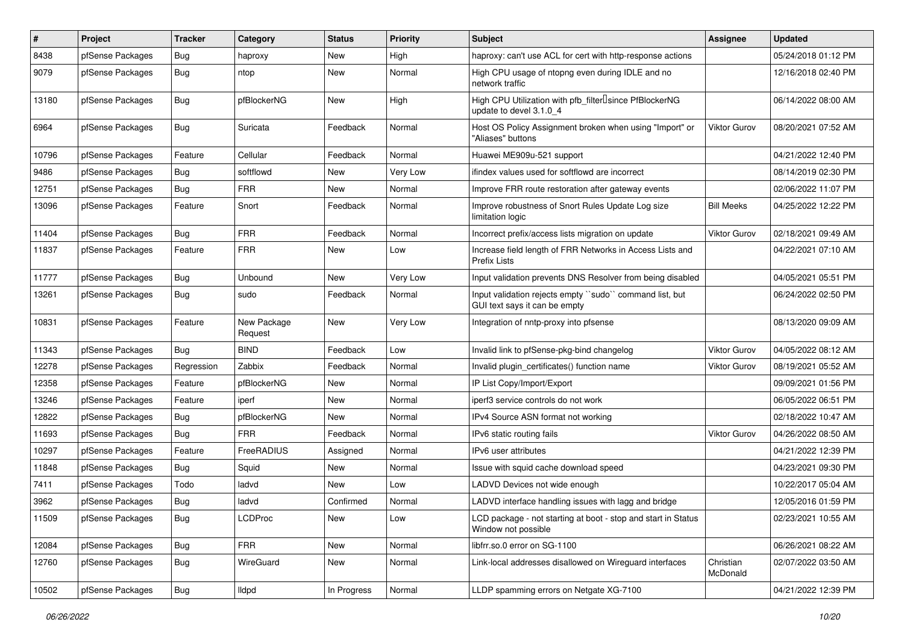| #     | Project          | <b>Tracker</b> | Category               | <b>Status</b> | <b>Priority</b> | <b>Subject</b>                                                                                  | <b>Assignee</b>       | <b>Updated</b>      |
|-------|------------------|----------------|------------------------|---------------|-----------------|-------------------------------------------------------------------------------------------------|-----------------------|---------------------|
| 8438  | pfSense Packages | Bug            | haproxy                | New           | High            | haproxy: can't use ACL for cert with http-response actions                                      |                       | 05/24/2018 01:12 PM |
| 9079  | pfSense Packages | Bug            | ntop                   | New           | Normal          | High CPU usage of ntopng even during IDLE and no<br>network traffic                             |                       | 12/16/2018 02:40 PM |
| 13180 | pfSense Packages | Bug            | pfBlockerNG            | New           | High            | High CPU Utilization with pfb_filter <sup>[]</sup> since PfBlockerNG<br>update to devel 3.1.0 4 |                       | 06/14/2022 08:00 AM |
| 6964  | pfSense Packages | Bug            | Suricata               | Feedback      | Normal          | Host OS Policy Assignment broken when using "Import" or<br>"Aliases" buttons                    | <b>Viktor Gurov</b>   | 08/20/2021 07:52 AM |
| 10796 | pfSense Packages | Feature        | Cellular               | Feedback      | Normal          | Huawei ME909u-521 support                                                                       |                       | 04/21/2022 12:40 PM |
| 9486  | pfSense Packages | Bug            | softflowd              | New           | Very Low        | ifindex values used for softflowd are incorrect                                                 |                       | 08/14/2019 02:30 PM |
| 12751 | pfSense Packages | Bug            | <b>FRR</b>             | New           | Normal          | Improve FRR route restoration after gateway events                                              |                       | 02/06/2022 11:07 PM |
| 13096 | pfSense Packages | Feature        | Snort                  | Feedback      | Normal          | Improve robustness of Snort Rules Update Log size<br>limitation logic                           | <b>Bill Meeks</b>     | 04/25/2022 12:22 PM |
| 11404 | pfSense Packages | Bug            | <b>FRR</b>             | Feedback      | Normal          | Incorrect prefix/access lists migration on update                                               | <b>Viktor Gurov</b>   | 02/18/2021 09:49 AM |
| 11837 | pfSense Packages | Feature        | <b>FRR</b>             | New           | Low             | Increase field length of FRR Networks in Access Lists and<br><b>Prefix Lists</b>                |                       | 04/22/2021 07:10 AM |
| 11777 | pfSense Packages | Bug            | Unbound                | <b>New</b>    | Very Low        | Input validation prevents DNS Resolver from being disabled                                      |                       | 04/05/2021 05:51 PM |
| 13261 | pfSense Packages | Bug            | sudo                   | Feedback      | Normal          | Input validation rejects empty "sudo" command list, but<br>GUI text says it can be empty        |                       | 06/24/2022 02:50 PM |
| 10831 | pfSense Packages | Feature        | New Package<br>Request | <b>New</b>    | Very Low        | Integration of nntp-proxy into pfsense                                                          |                       | 08/13/2020 09:09 AM |
| 11343 | pfSense Packages | Bug            | <b>BIND</b>            | Feedback      | Low             | Invalid link to pfSense-pkg-bind changelog                                                      | Viktor Gurov          | 04/05/2022 08:12 AM |
| 12278 | pfSense Packages | Regression     | Zabbix                 | Feedback      | Normal          | Invalid plugin certificates() function name                                                     | <b>Viktor Gurov</b>   | 08/19/2021 05:52 AM |
| 12358 | pfSense Packages | Feature        | pfBlockerNG            | New           | Normal          | IP List Copy/Import/Export                                                                      |                       | 09/09/2021 01:56 PM |
| 13246 | pfSense Packages | Feature        | iperf                  | New           | Normal          | iperf3 service controls do not work                                                             |                       | 06/05/2022 06:51 PM |
| 12822 | pfSense Packages | Bug            | pfBlockerNG            | New           | Normal          | IPv4 Source ASN format not working                                                              |                       | 02/18/2022 10:47 AM |
| 11693 | pfSense Packages | <b>Bug</b>     | <b>FRR</b>             | Feedback      | Normal          | IPv6 static routing fails                                                                       | <b>Viktor Gurov</b>   | 04/26/2022 08:50 AM |
| 10297 | pfSense Packages | Feature        | FreeRADIUS             | Assigned      | Normal          | IPv6 user attributes                                                                            |                       | 04/21/2022 12:39 PM |
| 11848 | pfSense Packages | <b>Bug</b>     | Squid                  | New           | Normal          | Issue with squid cache download speed                                                           |                       | 04/23/2021 09:30 PM |
| 7411  | pfSense Packages | Todo           | ladvd                  | New           | Low             | LADVD Devices not wide enough                                                                   |                       | 10/22/2017 05:04 AM |
| 3962  | pfSense Packages | Bug            | ladvd                  | Confirmed     | Normal          | LADVD interface handling issues with lagg and bridge                                            |                       | 12/05/2016 01:59 PM |
| 11509 | pfSense Packages | Bug            | <b>LCDProc</b>         | New           | Low             | LCD package - not starting at boot - stop and start in Status<br>Window not possible            |                       | 02/23/2021 10:55 AM |
| 12084 | pfSense Packages | <b>Bug</b>     | <b>FRR</b>             | New           | Normal          | libfrr.so.0 error on SG-1100                                                                    |                       | 06/26/2021 08:22 AM |
| 12760 | pfSense Packages | Bug            | WireGuard              | New           | Normal          | Link-local addresses disallowed on Wireguard interfaces                                         | Christian<br>McDonald | 02/07/2022 03:50 AM |
| 10502 | pfSense Packages | <b>Bug</b>     | lldpd                  | In Progress   | Normal          | LLDP spamming errors on Netgate XG-7100                                                         |                       | 04/21/2022 12:39 PM |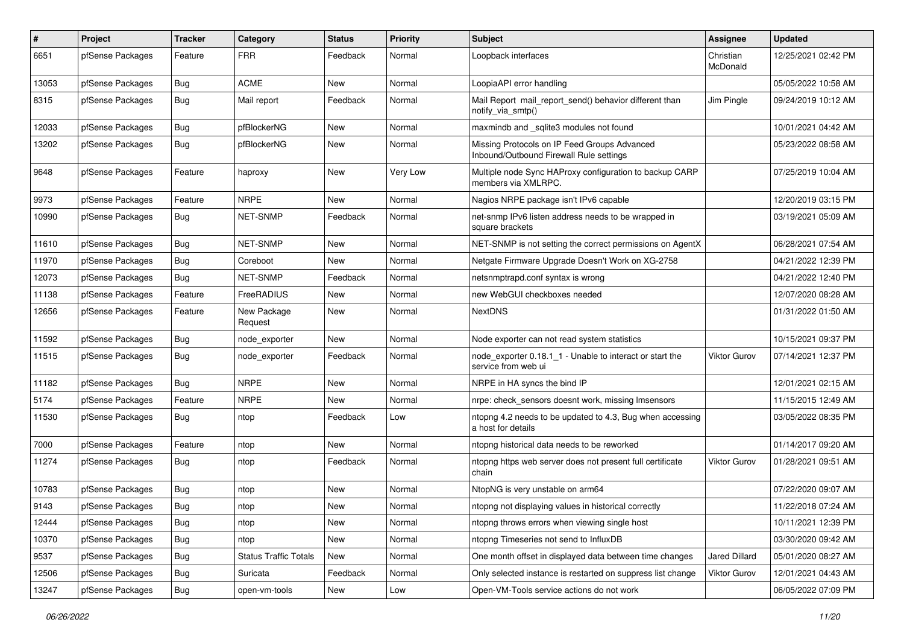| $\pmb{\#}$ | Project          | <b>Tracker</b> | Category                     | <b>Status</b> | <b>Priority</b> | <b>Subject</b>                                                                          | <b>Assignee</b>       | <b>Updated</b>      |
|------------|------------------|----------------|------------------------------|---------------|-----------------|-----------------------------------------------------------------------------------------|-----------------------|---------------------|
| 6651       | pfSense Packages | Feature        | <b>FRR</b>                   | Feedback      | Normal          | Loopback interfaces                                                                     | Christian<br>McDonald | 12/25/2021 02:42 PM |
| 13053      | pfSense Packages | <b>Bug</b>     | <b>ACME</b>                  | New           | Normal          | LoopiaAPI error handling                                                                |                       | 05/05/2022 10:58 AM |
| 8315       | pfSense Packages | Bug            | Mail report                  | Feedback      | Normal          | Mail Report mail report send() behavior different than<br>notify_via_smtp()             | Jim Pingle            | 09/24/2019 10:12 AM |
| 12033      | pfSense Packages | Bug            | pfBlockerNG                  | New           | Normal          | maxmindb and sqlite3 modules not found                                                  |                       | 10/01/2021 04:42 AM |
| 13202      | pfSense Packages | <b>Bug</b>     | pfBlockerNG                  | New           | Normal          | Missing Protocols on IP Feed Groups Advanced<br>Inbound/Outbound Firewall Rule settings |                       | 05/23/2022 08:58 AM |
| 9648       | pfSense Packages | Feature        | haproxy                      | New           | Very Low        | Multiple node Sync HAProxy configuration to backup CARP<br>members via XMLRPC.          |                       | 07/25/2019 10:04 AM |
| 9973       | pfSense Packages | Feature        | <b>NRPE</b>                  | New           | Normal          | Nagios NRPE package isn't IPv6 capable                                                  |                       | 12/20/2019 03:15 PM |
| 10990      | pfSense Packages | <b>Bug</b>     | <b>NET-SNMP</b>              | Feedback      | Normal          | net-snmp IPv6 listen address needs to be wrapped in<br>square brackets                  |                       | 03/19/2021 05:09 AM |
| 11610      | pfSense Packages | <b>Bug</b>     | <b>NET-SNMP</b>              | New           | Normal          | NET-SNMP is not setting the correct permissions on AgentX                               |                       | 06/28/2021 07:54 AM |
| 11970      | pfSense Packages | Bug            | Coreboot                     | New           | Normal          | Netgate Firmware Upgrade Doesn't Work on XG-2758                                        |                       | 04/21/2022 12:39 PM |
| 12073      | pfSense Packages | <b>Bug</b>     | <b>NET-SNMP</b>              | Feedback      | Normal          | netsnmptrapd.conf syntax is wrong                                                       |                       | 04/21/2022 12:40 PM |
| 11138      | pfSense Packages | Feature        | FreeRADIUS                   | New           | Normal          | new WebGUI checkboxes needed                                                            |                       | 12/07/2020 08:28 AM |
| 12656      | pfSense Packages | Feature        | New Package<br>Request       | New           | Normal          | <b>NextDNS</b>                                                                          |                       | 01/31/2022 01:50 AM |
| 11592      | pfSense Packages | <b>Bug</b>     | node exporter                | New           | Normal          | Node exporter can not read system statistics                                            |                       | 10/15/2021 09:37 PM |
| 11515      | pfSense Packages | <b>Bug</b>     | node exporter                | Feedback      | Normal          | node exporter 0.18.1 1 - Unable to interact or start the<br>service from web ui         | Viktor Gurov          | 07/14/2021 12:37 PM |
| 11182      | pfSense Packages | Bug            | <b>NRPE</b>                  | <b>New</b>    | Normal          | NRPE in HA syncs the bind IP                                                            |                       | 12/01/2021 02:15 AM |
| 5174       | pfSense Packages | Feature        | <b>NRPE</b>                  | New           | Normal          | nrpe: check sensors doesnt work, missing Imsensors                                      |                       | 11/15/2015 12:49 AM |
| 11530      | pfSense Packages | <b>Bug</b>     | ntop                         | Feedback      | Low             | ntopng 4.2 needs to be updated to 4.3, Bug when accessing<br>a host for details         |                       | 03/05/2022 08:35 PM |
| 7000       | pfSense Packages | Feature        | ntop                         | New           | Normal          | ntopng historical data needs to be reworked                                             |                       | 01/14/2017 09:20 AM |
| 11274      | pfSense Packages | <b>Bug</b>     | ntop                         | Feedback      | Normal          | ntopng https web server does not present full certificate<br>chain                      | Viktor Gurov          | 01/28/2021 09:51 AM |
| 10783      | pfSense Packages | <b>Bug</b>     | ntop                         | New           | Normal          | NtopNG is very unstable on arm64                                                        |                       | 07/22/2020 09:07 AM |
| 9143       | pfSense Packages | <b>Bug</b>     | ntop                         | New           | Normal          | ntopng not displaying values in historical correctly                                    |                       | 11/22/2018 07:24 AM |
| 12444      | pfSense Packages | <b>Bug</b>     | ntop                         | New           | Normal          | ntopng throws errors when viewing single host                                           |                       | 10/11/2021 12:39 PM |
| 10370      | pfSense Packages | Bug            | ntop                         | New           | Normal          | ntopng Timeseries not send to InfluxDB                                                  |                       | 03/30/2020 09:42 AM |
| 9537       | pfSense Packages | Bug            | <b>Status Traffic Totals</b> | <b>New</b>    | Normal          | One month offset in displayed data between time changes                                 | <b>Jared Dillard</b>  | 05/01/2020 08:27 AM |
| 12506      | pfSense Packages | <b>Bug</b>     | Suricata                     | Feedback      | Normal          | Only selected instance is restarted on suppress list change                             | Viktor Gurov          | 12/01/2021 04:43 AM |
| 13247      | pfSense Packages | Bug            | open-vm-tools                | New           | Low             | Open-VM-Tools service actions do not work                                               |                       | 06/05/2022 07:09 PM |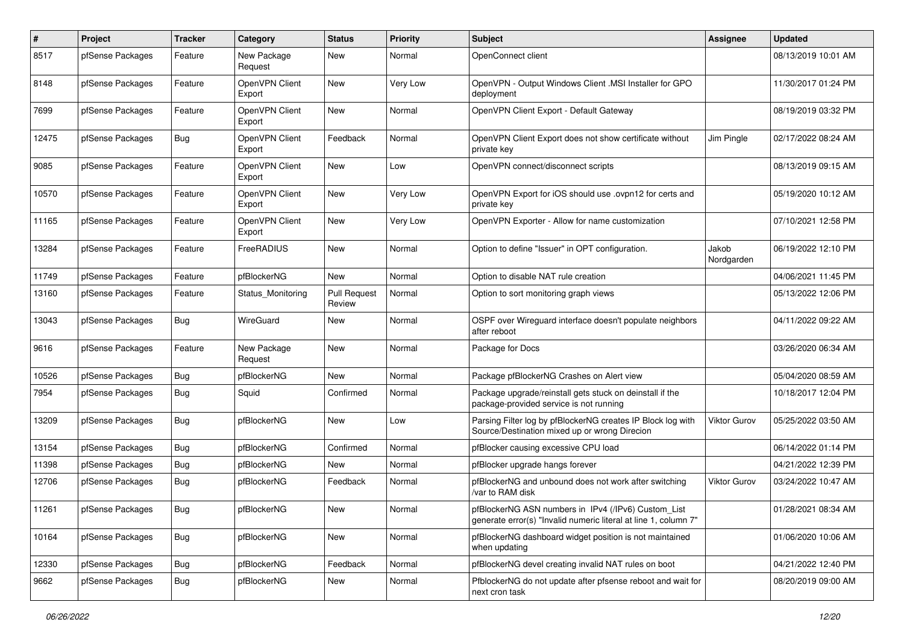| $\#$  | Project          | <b>Tracker</b> | Category                 | <b>Status</b>                 | <b>Priority</b> | <b>Subject</b>                                                                                                         | <b>Assignee</b>     | <b>Updated</b>      |
|-------|------------------|----------------|--------------------------|-------------------------------|-----------------|------------------------------------------------------------------------------------------------------------------------|---------------------|---------------------|
| 8517  | pfSense Packages | Feature        | New Package<br>Request   | New                           | Normal          | OpenConnect client                                                                                                     |                     | 08/13/2019 10:01 AM |
| 8148  | pfSense Packages | Feature        | OpenVPN Client<br>Export | New                           | Very Low        | OpenVPN - Output Windows Client .MSI Installer for GPO<br>deployment                                                   |                     | 11/30/2017 01:24 PM |
| 7699  | pfSense Packages | Feature        | OpenVPN Client<br>Export | New                           | Normal          | OpenVPN Client Export - Default Gateway                                                                                |                     | 08/19/2019 03:32 PM |
| 12475 | pfSense Packages | Bug            | OpenVPN Client<br>Export | Feedback                      | Normal          | OpenVPN Client Export does not show certificate without<br>private key                                                 | Jim Pingle          | 02/17/2022 08:24 AM |
| 9085  | pfSense Packages | Feature        | OpenVPN Client<br>Export | New                           | Low             | OpenVPN connect/disconnect scripts                                                                                     |                     | 08/13/2019 09:15 AM |
| 10570 | pfSense Packages | Feature        | OpenVPN Client<br>Export | New                           | Very Low        | OpenVPN Export for iOS should use .ovpn12 for certs and<br>private key                                                 |                     | 05/19/2020 10:12 AM |
| 11165 | pfSense Packages | Feature        | OpenVPN Client<br>Export | <b>New</b>                    | Very Low        | OpenVPN Exporter - Allow for name customization                                                                        |                     | 07/10/2021 12:58 PM |
| 13284 | pfSense Packages | Feature        | FreeRADIUS               | <b>New</b>                    | Normal          | Option to define "Issuer" in OPT configuration.                                                                        | Jakob<br>Nordgarden | 06/19/2022 12:10 PM |
| 11749 | pfSense Packages | Feature        | pfBlockerNG              | <b>New</b>                    | Normal          | Option to disable NAT rule creation                                                                                    |                     | 04/06/2021 11:45 PM |
| 13160 | pfSense Packages | Feature        | Status_Monitoring        | <b>Pull Request</b><br>Review | Normal          | Option to sort monitoring graph views                                                                                  |                     | 05/13/2022 12:06 PM |
| 13043 | pfSense Packages | Bug            | WireGuard                | New                           | Normal          | OSPF over Wireguard interface doesn't populate neighbors<br>after reboot                                               |                     | 04/11/2022 09:22 AM |
| 9616  | pfSense Packages | Feature        | New Package<br>Request   | New                           | Normal          | Package for Docs                                                                                                       |                     | 03/26/2020 06:34 AM |
| 10526 | pfSense Packages | <b>Bug</b>     | pfBlockerNG              | New                           | Normal          | Package pfBlockerNG Crashes on Alert view                                                                              |                     | 05/04/2020 08:59 AM |
| 7954  | pfSense Packages | Bug            | Squid                    | Confirmed                     | Normal          | Package upgrade/reinstall gets stuck on deinstall if the<br>package-provided service is not running                    |                     | 10/18/2017 12:04 PM |
| 13209 | pfSense Packages | Bug            | pfBlockerNG              | New                           | Low             | Parsing Filter log by pfBlockerNG creates IP Block log with<br>Source/Destination mixed up or wrong Direcion           | <b>Viktor Gurov</b> | 05/25/2022 03:50 AM |
| 13154 | pfSense Packages | <b>Bug</b>     | pfBlockerNG              | Confirmed                     | Normal          | pfBlocker causing excessive CPU load                                                                                   |                     | 06/14/2022 01:14 PM |
| 11398 | pfSense Packages | Bug            | pfBlockerNG              | New                           | Normal          | pfBlocker upgrade hangs forever                                                                                        |                     | 04/21/2022 12:39 PM |
| 12706 | pfSense Packages | <b>Bug</b>     | pfBlockerNG              | Feedback                      | Normal          | pfBlockerNG and unbound does not work after switching<br>/var to RAM disk                                              | Viktor Gurov        | 03/24/2022 10:47 AM |
| 11261 | pfSense Packages | <b>Bug</b>     | pfBlockerNG              | New                           | Normal          | pfBlockerNG ASN numbers in IPv4 (/IPv6) Custom_List<br>generate error(s) "Invalid numeric literal at line 1, column 7" |                     | 01/28/2021 08:34 AM |
| 10164 | pfSense Packages | Bug            | pfBlockerNG              | New                           | Normal          | pfBlockerNG dashboard widget position is not maintained<br>when updating                                               |                     | 01/06/2020 10:06 AM |
| 12330 | pfSense Packages | Bug            | pfBlockerNG              | Feedback                      | Normal          | pfBlockerNG devel creating invalid NAT rules on boot                                                                   |                     | 04/21/2022 12:40 PM |
| 9662  | pfSense Packages | Bug            | pfBlockerNG              | New                           | Normal          | PfblockerNG do not update after pfsense reboot and wait for<br>next cron task                                          |                     | 08/20/2019 09:00 AM |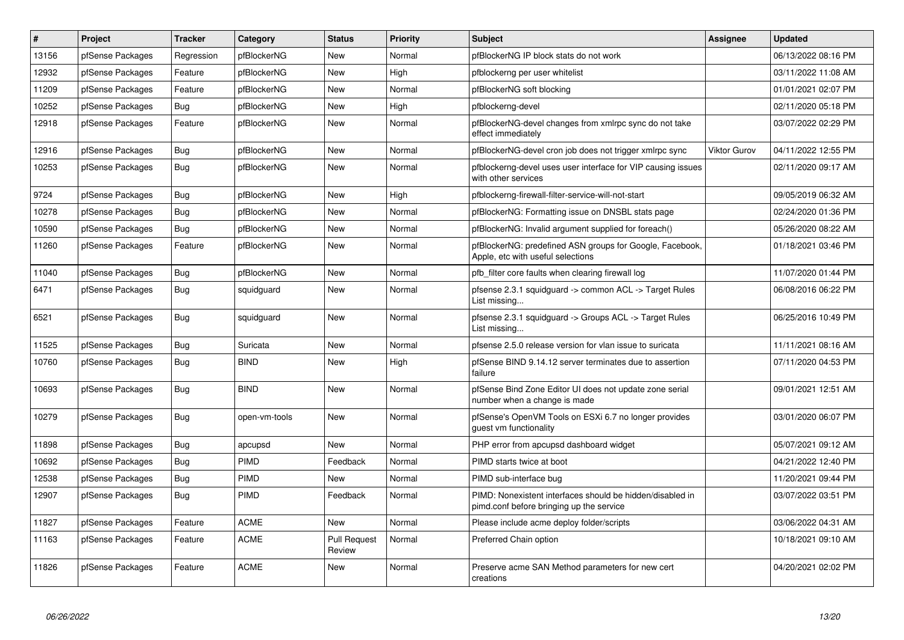| $\sharp$ | Project          | <b>Tracker</b> | Category      | <b>Status</b>                 | Priority | <b>Subject</b>                                                                                        | Assignee            | <b>Updated</b>      |
|----------|------------------|----------------|---------------|-------------------------------|----------|-------------------------------------------------------------------------------------------------------|---------------------|---------------------|
| 13156    | pfSense Packages | Regression     | pfBlockerNG   | New                           | Normal   | pfBlockerNG IP block stats do not work                                                                |                     | 06/13/2022 08:16 PM |
| 12932    | pfSense Packages | Feature        | pfBlockerNG   | <b>New</b>                    | High     | pfblockerng per user whitelist                                                                        |                     | 03/11/2022 11:08 AM |
| 11209    | pfSense Packages | Feature        | pfBlockerNG   | New                           | Normal   | pfBlockerNG soft blocking                                                                             |                     | 01/01/2021 02:07 PM |
| 10252    | pfSense Packages | Bug            | pfBlockerNG   | <b>New</b>                    | High     | pfblockerng-devel                                                                                     |                     | 02/11/2020 05:18 PM |
| 12918    | pfSense Packages | Feature        | pfBlockerNG   | <b>New</b>                    | Normal   | pfBlockerNG-devel changes from xmlrpc sync do not take<br>effect immediately                          |                     | 03/07/2022 02:29 PM |
| 12916    | pfSense Packages | <b>Bug</b>     | pfBlockerNG   | <b>New</b>                    | Normal   | pfBlockerNG-devel cron job does not trigger xmlrpc sync                                               | <b>Viktor Gurov</b> | 04/11/2022 12:55 PM |
| 10253    | pfSense Packages | Bug            | pfBlockerNG   | New                           | Normal   | pfblockerng-devel uses user interface for VIP causing issues<br>with other services                   |                     | 02/11/2020 09:17 AM |
| 9724     | pfSense Packages | Bug            | pfBlockerNG   | <b>New</b>                    | High     | pfblockerng-firewall-filter-service-will-not-start                                                    |                     | 09/05/2019 06:32 AM |
| 10278    | pfSense Packages | Bug            | pfBlockerNG   | New                           | Normal   | pfBlockerNG: Formatting issue on DNSBL stats page                                                     |                     | 02/24/2020 01:36 PM |
| 10590    | pfSense Packages | <b>Bug</b>     | pfBlockerNG   | <b>New</b>                    | Normal   | pfBlockerNG: Invalid argument supplied for foreach()                                                  |                     | 05/26/2020 08:22 AM |
| 11260    | pfSense Packages | Feature        | pfBlockerNG   | New                           | Normal   | pfBlockerNG: predefined ASN groups for Google, Facebook,<br>Apple, etc with useful selections         |                     | 01/18/2021 03:46 PM |
| 11040    | pfSense Packages | Bug            | pfBlockerNG   | <b>New</b>                    | Normal   | pfb filter core faults when clearing firewall log                                                     |                     | 11/07/2020 01:44 PM |
| 6471     | pfSense Packages | <b>Bug</b>     | squidguard    | <b>New</b>                    | Normal   | pfsense 2.3.1 squidguard -> common ACL -> Target Rules<br>List missing                                |                     | 06/08/2016 06:22 PM |
| 6521     | pfSense Packages | <b>Bug</b>     | squidguard    | New                           | Normal   | pfsense 2.3.1 squidguard -> Groups ACL -> Target Rules<br>List missing                                |                     | 06/25/2016 10:49 PM |
| 11525    | pfSense Packages | Bug            | Suricata      | New                           | Normal   | pfsense 2.5.0 release version for vlan issue to suricata                                              |                     | 11/11/2021 08:16 AM |
| 10760    | pfSense Packages | Bug            | <b>BIND</b>   | New                           | High     | pfSense BIND 9.14.12 server terminates due to assertion<br>failure                                    |                     | 07/11/2020 04:53 PM |
| 10693    | pfSense Packages | Bug            | <b>BIND</b>   | New                           | Normal   | pfSense Bind Zone Editor UI does not update zone serial<br>number when a change is made               |                     | 09/01/2021 12:51 AM |
| 10279    | pfSense Packages | <b>Bug</b>     | open-vm-tools | New                           | Normal   | pfSense's OpenVM Tools on ESXi 6.7 no longer provides<br>guest vm functionality                       |                     | 03/01/2020 06:07 PM |
| 11898    | pfSense Packages | <b>Bug</b>     | apcupsd       | New                           | Normal   | PHP error from apcupsd dashboard widget                                                               |                     | 05/07/2021 09:12 AM |
| 10692    | pfSense Packages | <b>Bug</b>     | PIMD          | Feedback                      | Normal   | PIMD starts twice at boot                                                                             |                     | 04/21/2022 12:40 PM |
| 12538    | pfSense Packages | Bug            | <b>PIMD</b>   | New                           | Normal   | PIMD sub-interface bug                                                                                |                     | 11/20/2021 09:44 PM |
| 12907    | pfSense Packages | <b>Bug</b>     | <b>PIMD</b>   | Feedback                      | Normal   | PIMD: Nonexistent interfaces should be hidden/disabled in<br>pimd.conf before bringing up the service |                     | 03/07/2022 03:51 PM |
| 11827    | pfSense Packages | Feature        | <b>ACME</b>   | New                           | Normal   | Please include acme deploy folder/scripts                                                             |                     | 03/06/2022 04:31 AM |
| 11163    | pfSense Packages | Feature        | <b>ACME</b>   | <b>Pull Request</b><br>Review | Normal   | Preferred Chain option                                                                                |                     | 10/18/2021 09:10 AM |
| 11826    | pfSense Packages | Feature        | <b>ACME</b>   | <b>New</b>                    | Normal   | Preserve acme SAN Method parameters for new cert<br>creations                                         |                     | 04/20/2021 02:02 PM |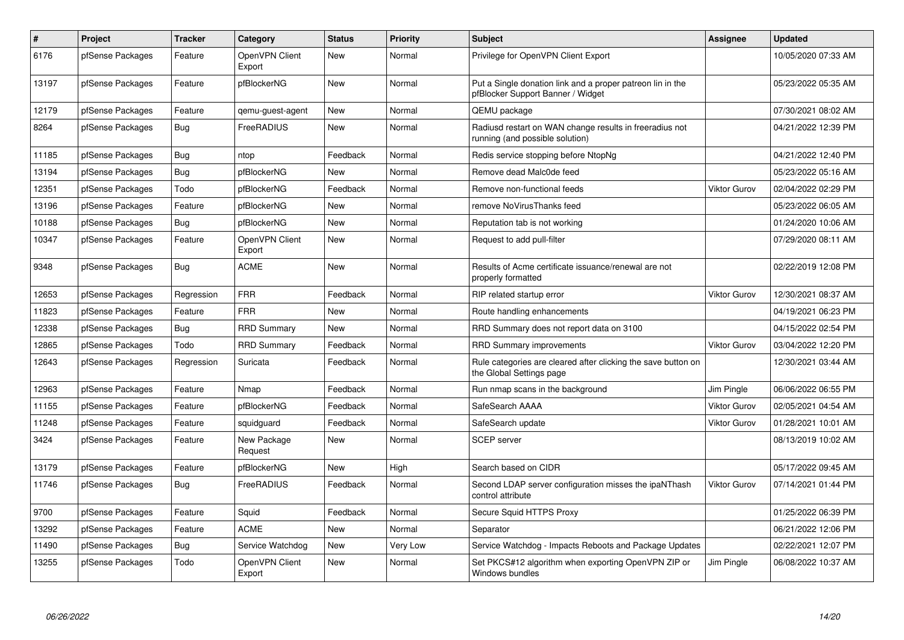| $\pmb{\#}$ | Project          | <b>Tracker</b> | Category                 | <b>Status</b> | Priority        | <b>Subject</b>                                                                                  | <b>Assignee</b> | <b>Updated</b>      |
|------------|------------------|----------------|--------------------------|---------------|-----------------|-------------------------------------------------------------------------------------------------|-----------------|---------------------|
| 6176       | pfSense Packages | Feature        | OpenVPN Client<br>Export | <b>New</b>    | Normal          | Privilege for OpenVPN Client Export                                                             |                 | 10/05/2020 07:33 AM |
| 13197      | pfSense Packages | Feature        | pfBlockerNG              | New           | Normal          | Put a Single donation link and a proper patreon lin in the<br>pfBlocker Support Banner / Widget |                 | 05/23/2022 05:35 AM |
| 12179      | pfSense Packages | Feature        | qemu-guest-agent         | <b>New</b>    | Normal          | QEMU package                                                                                    |                 | 07/30/2021 08:02 AM |
| 8264       | pfSense Packages | Bug            | FreeRADIUS               | New           | Normal          | Radiusd restart on WAN change results in freeradius not<br>running (and possible solution)      |                 | 04/21/2022 12:39 PM |
| 11185      | pfSense Packages | Bug            | ntop                     | Feedback      | Normal          | Redis service stopping before NtopNg                                                            |                 | 04/21/2022 12:40 PM |
| 13194      | pfSense Packages | Bug            | pfBlockerNG              | New           | Normal          | Remove dead Malc0de feed                                                                        |                 | 05/23/2022 05:16 AM |
| 12351      | pfSense Packages | Todo           | pfBlockerNG              | Feedback      | Normal          | Remove non-functional feeds                                                                     | Viktor Gurov    | 02/04/2022 02:29 PM |
| 13196      | pfSense Packages | Feature        | pfBlockerNG              | <b>New</b>    | Normal          | remove NoVirusThanks feed                                                                       |                 | 05/23/2022 06:05 AM |
| 10188      | pfSense Packages | Bug            | pfBlockerNG              | <b>New</b>    | Normal          | Reputation tab is not working                                                                   |                 | 01/24/2020 10:06 AM |
| 10347      | pfSense Packages | Feature        | OpenVPN Client<br>Export | <b>New</b>    | Normal          | Request to add pull-filter                                                                      |                 | 07/29/2020 08:11 AM |
| 9348       | pfSense Packages | Bug            | <b>ACME</b>              | <b>New</b>    | Normal          | Results of Acme certificate issuance/renewal are not<br>properly formatted                      |                 | 02/22/2019 12:08 PM |
| 12653      | pfSense Packages | Regression     | <b>FRR</b>               | Feedback      | Normal          | RIP related startup error                                                                       | Viktor Gurov    | 12/30/2021 08:37 AM |
| 11823      | pfSense Packages | Feature        | <b>FRR</b>               | <b>New</b>    | Normal          | Route handling enhancements                                                                     |                 | 04/19/2021 06:23 PM |
| 12338      | pfSense Packages | Bug            | <b>RRD Summary</b>       | <b>New</b>    | Normal          | RRD Summary does not report data on 3100                                                        |                 | 04/15/2022 02:54 PM |
| 12865      | pfSense Packages | Todo           | <b>RRD Summary</b>       | Feedback      | Normal          | <b>RRD Summary improvements</b>                                                                 | Viktor Gurov    | 03/04/2022 12:20 PM |
| 12643      | pfSense Packages | Regression     | Suricata                 | Feedback      | Normal          | Rule categories are cleared after clicking the save button on<br>the Global Settings page       |                 | 12/30/2021 03:44 AM |
| 12963      | pfSense Packages | Feature        | Nmap                     | Feedback      | Normal          | Run nmap scans in the background                                                                | Jim Pingle      | 06/06/2022 06:55 PM |
| 11155      | pfSense Packages | Feature        | pfBlockerNG              | Feedback      | Normal          | SafeSearch AAAA                                                                                 | Viktor Gurov    | 02/05/2021 04:54 AM |
| 11248      | pfSense Packages | Feature        | squidguard               | Feedback      | Normal          | SafeSearch update                                                                               | Viktor Gurov    | 01/28/2021 10:01 AM |
| 3424       | pfSense Packages | Feature        | New Package<br>Request   | New           | Normal          | <b>SCEP</b> server                                                                              |                 | 08/13/2019 10:02 AM |
| 13179      | pfSense Packages | Feature        | pfBlockerNG              | <b>New</b>    | High            | Search based on CIDR                                                                            |                 | 05/17/2022 09:45 AM |
| 11746      | pfSense Packages | <b>Bug</b>     | FreeRADIUS               | Feedback      | Normal          | Second LDAP server configuration misses the ipaNThash<br>control attribute                      | Viktor Gurov    | 07/14/2021 01:44 PM |
| 9700       | pfSense Packages | Feature        | Squid                    | Feedback      | Normal          | Secure Squid HTTPS Proxy                                                                        |                 | 01/25/2022 06:39 PM |
| 13292      | pfSense Packages | Feature        | <b>ACME</b>              | <b>New</b>    | Normal          | Separator                                                                                       |                 | 06/21/2022 12:06 PM |
| 11490      | pfSense Packages | Bug            | Service Watchdog         | <b>New</b>    | <b>Very Low</b> | Service Watchdog - Impacts Reboots and Package Updates                                          |                 | 02/22/2021 12:07 PM |
| 13255      | pfSense Packages | Todo           | OpenVPN Client<br>Export | <b>New</b>    | Normal          | Set PKCS#12 algorithm when exporting OpenVPN ZIP or<br>Windows bundles                          | Jim Pingle      | 06/08/2022 10:37 AM |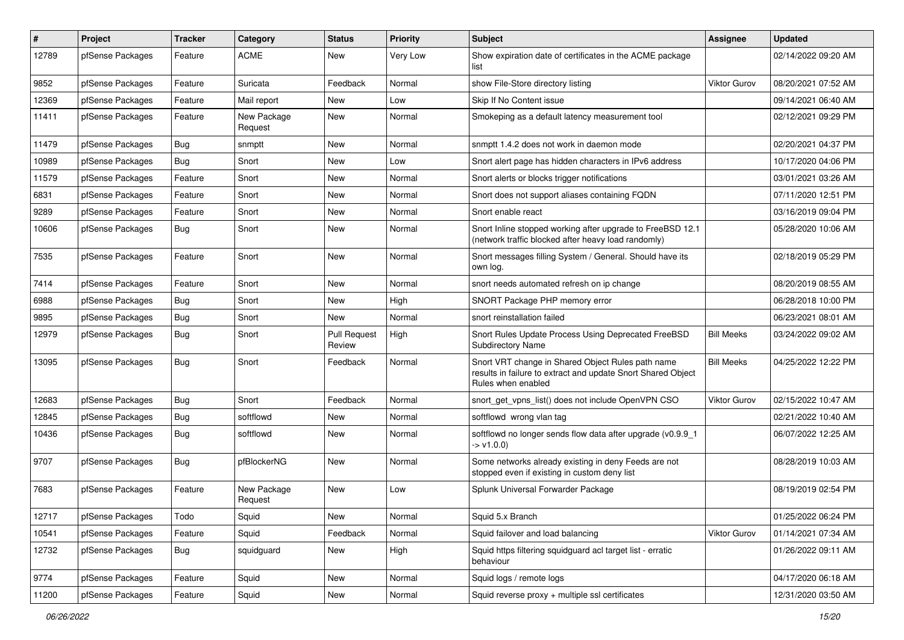| #     | Project          | <b>Tracker</b> | Category               | <b>Status</b>                 | <b>Priority</b> | <b>Subject</b>                                                                                                                          | <b>Assignee</b>     | <b>Updated</b>      |
|-------|------------------|----------------|------------------------|-------------------------------|-----------------|-----------------------------------------------------------------------------------------------------------------------------------------|---------------------|---------------------|
| 12789 | pfSense Packages | Feature        | <b>ACME</b>            | New                           | Very Low        | Show expiration date of certificates in the ACME package<br>list                                                                        |                     | 02/14/2022 09:20 AM |
| 9852  | pfSense Packages | Feature        | Suricata               | Feedback                      | Normal          | show File-Store directory listing                                                                                                       | <b>Viktor Gurov</b> | 08/20/2021 07:52 AM |
| 12369 | pfSense Packages | Feature        | Mail report            | New                           | Low             | Skip If No Content issue                                                                                                                |                     | 09/14/2021 06:40 AM |
| 11411 | pfSense Packages | Feature        | New Package<br>Request | New                           | Normal          | Smokeping as a default latency measurement tool                                                                                         |                     | 02/12/2021 09:29 PM |
| 11479 | pfSense Packages | <b>Bug</b>     | snmptt                 | New                           | Normal          | snmptt 1.4.2 does not work in daemon mode                                                                                               |                     | 02/20/2021 04:37 PM |
| 10989 | pfSense Packages | Bug            | Snort                  | New                           | Low             | Snort alert page has hidden characters in IPv6 address                                                                                  |                     | 10/17/2020 04:06 PM |
| 11579 | pfSense Packages | Feature        | Snort                  | New                           | Normal          | Snort alerts or blocks trigger notifications                                                                                            |                     | 03/01/2021 03:26 AM |
| 6831  | pfSense Packages | Feature        | Snort                  | New                           | Normal          | Snort does not support aliases containing FQDN                                                                                          |                     | 07/11/2020 12:51 PM |
| 9289  | pfSense Packages | Feature        | Snort                  | New                           | Normal          | Snort enable react                                                                                                                      |                     | 03/16/2019 09:04 PM |
| 10606 | pfSense Packages | <b>Bug</b>     | Snort                  | New                           | Normal          | Snort Inline stopped working after upgrade to FreeBSD 12.1<br>(network traffic blocked after heavy load randomly)                       |                     | 05/28/2020 10:06 AM |
| 7535  | pfSense Packages | Feature        | Snort                  | New                           | Normal          | Snort messages filling System / General. Should have its<br>own log.                                                                    |                     | 02/18/2019 05:29 PM |
| 7414  | pfSense Packages | Feature        | Snort                  | <b>New</b>                    | Normal          | snort needs automated refresh on ip change                                                                                              |                     | 08/20/2019 08:55 AM |
| 6988  | pfSense Packages | <b>Bug</b>     | Snort                  | New                           | High            | SNORT Package PHP memory error                                                                                                          |                     | 06/28/2018 10:00 PM |
| 9895  | pfSense Packages | <b>Bug</b>     | Snort                  | New                           | Normal          | snort reinstallation failed                                                                                                             |                     | 06/23/2021 08:01 AM |
| 12979 | pfSense Packages | <b>Bug</b>     | Snort                  | <b>Pull Request</b><br>Review | High            | Snort Rules Update Process Using Deprecated FreeBSD<br><b>Subdirectory Name</b>                                                         | <b>Bill Meeks</b>   | 03/24/2022 09:02 AM |
| 13095 | pfSense Packages | <b>Bug</b>     | Snort                  | Feedback                      | Normal          | Snort VRT change in Shared Object Rules path name<br>results in failure to extract and update Snort Shared Object<br>Rules when enabled | <b>Bill Meeks</b>   | 04/25/2022 12:22 PM |
| 12683 | pfSense Packages | Bug            | Snort                  | Feedback                      | Normal          | snort_get_vpns_list() does not include OpenVPN CSO                                                                                      | Viktor Gurov        | 02/15/2022 10:47 AM |
| 12845 | pfSense Packages | <b>Bug</b>     | softflowd              | New                           | Normal          | softflowd wrong vlan tag                                                                                                                |                     | 02/21/2022 10:40 AM |
| 10436 | pfSense Packages | <b>Bug</b>     | softflowd              | <b>New</b>                    | Normal          | softflowd no longer sends flow data after upgrade (v0.9.9_1<br>$\rightarrow$ v1.0.0)                                                    |                     | 06/07/2022 12:25 AM |
| 9707  | pfSense Packages | Bug            | pfBlockerNG            | <b>New</b>                    | Normal          | Some networks already existing in deny Feeds are not<br>stopped even if existing in custom deny list                                    |                     | 08/28/2019 10:03 AM |
| 7683  | pfSense Packages | Feature        | New Package<br>Request | New                           | Low             | Splunk Universal Forwarder Package                                                                                                      |                     | 08/19/2019 02:54 PM |
| 12717 | pfSense Packages | Todo           | Squid                  | New                           | Normal          | Squid 5.x Branch                                                                                                                        |                     | 01/25/2022 06:24 PM |
| 10541 | pfSense Packages | Feature        | Squid                  | Feedback                      | Normal          | Squid failover and load balancing                                                                                                       | <b>Viktor Gurov</b> | 01/14/2021 07:34 AM |
| 12732 | pfSense Packages | <b>Bug</b>     | squidguard             | New                           | High            | Squid https filtering squidguard acl target list - erratic<br>behaviour                                                                 |                     | 01/26/2022 09:11 AM |
| 9774  | pfSense Packages | Feature        | Squid                  | New                           | Normal          | Squid logs / remote logs                                                                                                                |                     | 04/17/2020 06:18 AM |
| 11200 | pfSense Packages | Feature        | Squid                  | New                           | Normal          | Squid reverse proxy + multiple ssl certificates                                                                                         |                     | 12/31/2020 03:50 AM |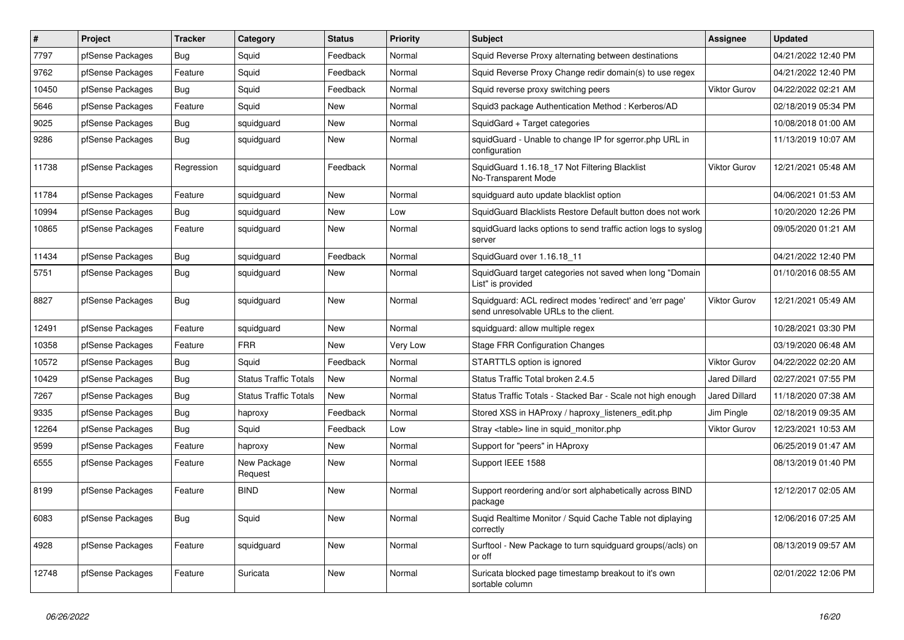| $\#$  | Project          | <b>Tracker</b> | Category                     | <b>Status</b> | <b>Priority</b> | <b>Subject</b>                                                                                    | Assignee             | <b>Updated</b>      |
|-------|------------------|----------------|------------------------------|---------------|-----------------|---------------------------------------------------------------------------------------------------|----------------------|---------------------|
| 7797  | pfSense Packages | <b>Bug</b>     | Squid                        | Feedback      | Normal          | Squid Reverse Proxy alternating between destinations                                              |                      | 04/21/2022 12:40 PM |
| 9762  | pfSense Packages | Feature        | Squid                        | Feedback      | Normal          | Squid Reverse Proxy Change redir domain(s) to use regex                                           |                      | 04/21/2022 12:40 PM |
| 10450 | pfSense Packages | Bug            | Squid                        | Feedback      | Normal          | Squid reverse proxy switching peers                                                               | <b>Viktor Gurov</b>  | 04/22/2022 02:21 AM |
| 5646  | pfSense Packages | Feature        | Squid                        | New           | Normal          | Squid3 package Authentication Method: Kerberos/AD                                                 |                      | 02/18/2019 05:34 PM |
| 9025  | pfSense Packages | Bug            | squidguard                   | New           | Normal          | SquidGard + Target categories                                                                     |                      | 10/08/2018 01:00 AM |
| 9286  | pfSense Packages | <b>Bug</b>     | squidguard                   | New           | Normal          | squidGuard - Unable to change IP for sgerror.php URL in<br>configuration                          |                      | 11/13/2019 10:07 AM |
| 11738 | pfSense Packages | Regression     | squidguard                   | Feedback      | Normal          | SquidGuard 1.16.18 17 Not Filtering Blacklist<br>No-Transparent Mode                              | <b>Viktor Gurov</b>  | 12/21/2021 05:48 AM |
| 11784 | pfSense Packages | Feature        | squidguard                   | New           | Normal          | squidguard auto update blacklist option                                                           |                      | 04/06/2021 01:53 AM |
| 10994 | pfSense Packages | <b>Bug</b>     | squidguard                   | New           | Low             | SquidGuard Blacklists Restore Default button does not work                                        |                      | 10/20/2020 12:26 PM |
| 10865 | pfSense Packages | Feature        | squidguard                   | New           | Normal          | squidGuard lacks options to send traffic action logs to syslog<br>server                          |                      | 09/05/2020 01:21 AM |
| 11434 | pfSense Packages | <b>Bug</b>     | squidguard                   | Feedback      | Normal          | SquidGuard over 1.16.18 11                                                                        |                      | 04/21/2022 12:40 PM |
| 5751  | pfSense Packages | <b>Bug</b>     | squidguard                   | <b>New</b>    | Normal          | SquidGuard target categories not saved when long "Domain<br>List" is provided                     |                      | 01/10/2016 08:55 AM |
| 8827  | pfSense Packages | <b>Bug</b>     | squidguard                   | New           | Normal          | Squidguard: ACL redirect modes 'redirect' and 'err page'<br>send unresolvable URLs to the client. | <b>Viktor Gurov</b>  | 12/21/2021 05:49 AM |
| 12491 | pfSense Packages | Feature        | squidguard                   | New           | Normal          | squidguard: allow multiple regex                                                                  |                      | 10/28/2021 03:30 PM |
| 10358 | pfSense Packages | Feature        | <b>FRR</b>                   | New           | Very Low        | Stage FRR Configuration Changes                                                                   |                      | 03/19/2020 06:48 AM |
| 10572 | pfSense Packages | <b>Bug</b>     | Squid                        | Feedback      | Normal          | STARTTLS option is ignored                                                                        | <b>Viktor Gurov</b>  | 04/22/2022 02:20 AM |
| 10429 | pfSense Packages | Bug            | <b>Status Traffic Totals</b> | New           | Normal          | Status Traffic Total broken 2.4.5                                                                 | <b>Jared Dillard</b> | 02/27/2021 07:55 PM |
| 7267  | pfSense Packages | Bug            | <b>Status Traffic Totals</b> | <b>New</b>    | Normal          | Status Traffic Totals - Stacked Bar - Scale not high enough                                       | Jared Dillard        | 11/18/2020 07:38 AM |
| 9335  | pfSense Packages | <b>Bug</b>     | haproxy                      | Feedback      | Normal          | Stored XSS in HAProxy / haproxy_listeners_edit.php                                                | Jim Pingle           | 02/18/2019 09:35 AM |
| 12264 | pfSense Packages | <b>Bug</b>     | Squid                        | Feedback      | Low             | Stray <table> line in squid monitor.php</table>                                                   | <b>Viktor Gurov</b>  | 12/23/2021 10:53 AM |
| 9599  | pfSense Packages | Feature        | haproxy                      | <b>New</b>    | Normal          | Support for "peers" in HAproxy                                                                    |                      | 06/25/2019 01:47 AM |
| 6555  | pfSense Packages | Feature        | New Package<br>Request       | New           | Normal          | Support IEEE 1588                                                                                 |                      | 08/13/2019 01:40 PM |
| 8199  | pfSense Packages | Feature        | <b>BIND</b>                  | <b>New</b>    | Normal          | Support reordering and/or sort alphabetically across BIND<br>package                              |                      | 12/12/2017 02:05 AM |
| 6083  | pfSense Packages | Bug            | Squid                        | <b>New</b>    | Normal          | Suqid Realtime Monitor / Squid Cache Table not diplaying<br>correctly                             |                      | 12/06/2016 07:25 AM |
| 4928  | pfSense Packages | Feature        | squidguard                   | <b>New</b>    | Normal          | Surftool - New Package to turn squidguard groups(/acls) on<br>or off                              |                      | 08/13/2019 09:57 AM |
| 12748 | pfSense Packages | Feature        | Suricata                     | <b>New</b>    | Normal          | Suricata blocked page timestamp breakout to it's own<br>sortable column                           |                      | 02/01/2022 12:06 PM |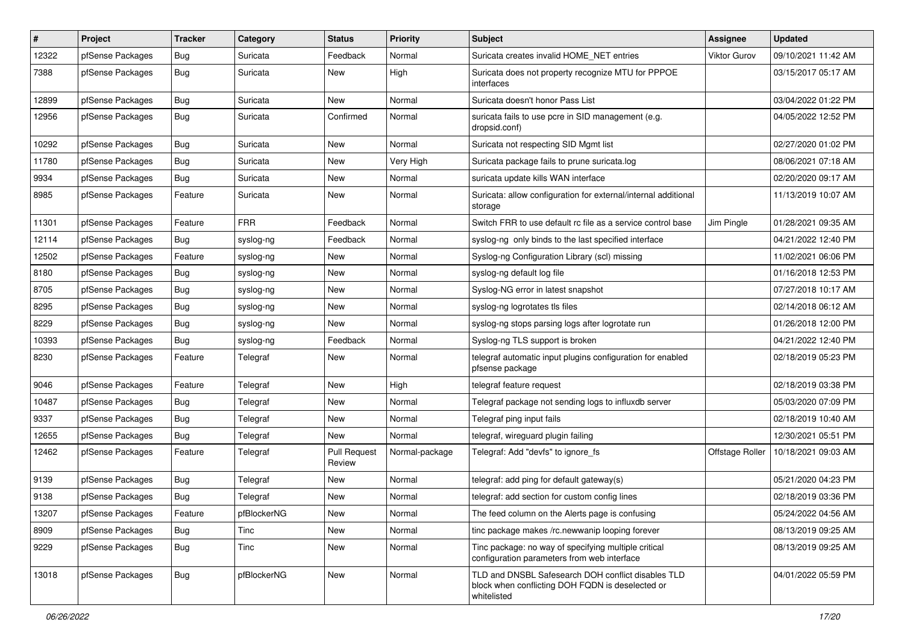| #     | Project          | <b>Tracker</b> | Category    | <b>Status</b>                 | <b>Priority</b> | Subject                                                                                                               | <b>Assignee</b>     | <b>Updated</b>      |
|-------|------------------|----------------|-------------|-------------------------------|-----------------|-----------------------------------------------------------------------------------------------------------------------|---------------------|---------------------|
| 12322 | pfSense Packages | <b>Bug</b>     | Suricata    | Feedback                      | Normal          | Suricata creates invalid HOME_NET entries                                                                             | <b>Viktor Gurov</b> | 09/10/2021 11:42 AM |
| 7388  | pfSense Packages | <b>Bug</b>     | Suricata    | <b>New</b>                    | High            | Suricata does not property recognize MTU for PPPOE<br>interfaces                                                      |                     | 03/15/2017 05:17 AM |
| 12899 | pfSense Packages | <b>Bug</b>     | Suricata    | <b>New</b>                    | Normal          | Suricata doesn't honor Pass List                                                                                      |                     | 03/04/2022 01:22 PM |
| 12956 | pfSense Packages | Bug            | Suricata    | Confirmed                     | Normal          | suricata fails to use pcre in SID management (e.g.<br>dropsid.conf)                                                   |                     | 04/05/2022 12:52 PM |
| 10292 | pfSense Packages | <b>Bug</b>     | Suricata    | New                           | Normal          | Suricata not respecting SID Mgmt list                                                                                 |                     | 02/27/2020 01:02 PM |
| 11780 | pfSense Packages | <b>Bug</b>     | Suricata    | New                           | Very High       | Suricata package fails to prune suricata.log                                                                          |                     | 08/06/2021 07:18 AM |
| 9934  | pfSense Packages | <b>Bug</b>     | Suricata    | New                           | Normal          | suricata update kills WAN interface                                                                                   |                     | 02/20/2020 09:17 AM |
| 8985  | pfSense Packages | Feature        | Suricata    | <b>New</b>                    | Normal          | Suricata: allow configuration for external/internal additional<br>storage                                             |                     | 11/13/2019 10:07 AM |
| 11301 | pfSense Packages | Feature        | <b>FRR</b>  | Feedback                      | Normal          | Switch FRR to use default rc file as a service control base                                                           | Jim Pingle          | 01/28/2021 09:35 AM |
| 12114 | pfSense Packages | Bug            | syslog-ng   | Feedback                      | Normal          | syslog-ng only binds to the last specified interface                                                                  |                     | 04/21/2022 12:40 PM |
| 12502 | pfSense Packages | Feature        | syslog-ng   | New                           | Normal          | Syslog-ng Configuration Library (scl) missing                                                                         |                     | 11/02/2021 06:06 PM |
| 8180  | pfSense Packages | Bug            | syslog-ng   | New                           | Normal          | syslog-ng default log file                                                                                            |                     | 01/16/2018 12:53 PM |
| 8705  | pfSense Packages | <b>Bug</b>     | syslog-ng   | New                           | Normal          | Syslog-NG error in latest snapshot                                                                                    |                     | 07/27/2018 10:17 AM |
| 8295  | pfSense Packages | <b>Bug</b>     | syslog-ng   | New                           | Normal          | syslog-ng logrotates tls files                                                                                        |                     | 02/14/2018 06:12 AM |
| 8229  | pfSense Packages | Bug            | syslog-ng   | New                           | Normal          | syslog-ng stops parsing logs after logrotate run                                                                      |                     | 01/26/2018 12:00 PM |
| 10393 | pfSense Packages | <b>Bug</b>     | syslog-ng   | Feedback                      | Normal          | Syslog-ng TLS support is broken                                                                                       |                     | 04/21/2022 12:40 PM |
| 8230  | pfSense Packages | Feature        | Telegraf    | New                           | Normal          | telegraf automatic input plugins configuration for enabled<br>pfsense package                                         |                     | 02/18/2019 05:23 PM |
| 9046  | pfSense Packages | Feature        | Telegraf    | New                           | High            | telegraf feature request                                                                                              |                     | 02/18/2019 03:38 PM |
| 10487 | pfSense Packages | <b>Bug</b>     | Telegraf    | New                           | Normal          | Telegraf package not sending logs to influxdb server                                                                  |                     | 05/03/2020 07:09 PM |
| 9337  | pfSense Packages | <b>Bug</b>     | Telegraf    | New                           | Normal          | Telegraf ping input fails                                                                                             |                     | 02/18/2019 10:40 AM |
| 12655 | pfSense Packages | <b>Bug</b>     | Telegraf    | New                           | Normal          | telegraf, wireguard plugin failing                                                                                    |                     | 12/30/2021 05:51 PM |
| 12462 | pfSense Packages | Feature        | Telegraf    | <b>Pull Request</b><br>Review | Normal-package  | Telegraf: Add "devfs" to ignore fs                                                                                    | Offstage Roller     | 10/18/2021 09:03 AM |
| 9139  | pfSense Packages | <b>Bug</b>     | Telegraf    | New                           | Normal          | telegraf: add ping for default gateway(s)                                                                             |                     | 05/21/2020 04:23 PM |
| 9138  | pfSense Packages | <b>Bug</b>     | Telegraf    | New                           | Normal          | telegraf: add section for custom config lines                                                                         |                     | 02/18/2019 03:36 PM |
| 13207 | pfSense Packages | Feature        | pfBlockerNG | New                           | Normal          | The feed column on the Alerts page is confusing                                                                       |                     | 05/24/2022 04:56 AM |
| 8909  | pfSense Packages | Bug            | Tinc        | New                           | Normal          | tinc package makes /rc.newwanip looping forever                                                                       |                     | 08/13/2019 09:25 AM |
| 9229  | pfSense Packages | Bug            | Tinc        | New                           | Normal          | Tinc package: no way of specifying multiple critical<br>configuration parameters from web interface                   |                     | 08/13/2019 09:25 AM |
| 13018 | pfSense Packages | Bug            | pfBlockerNG | New                           | Normal          | TLD and DNSBL Safesearch DOH conflict disables TLD<br>block when conflicting DOH FQDN is deselected or<br>whitelisted |                     | 04/01/2022 05:59 PM |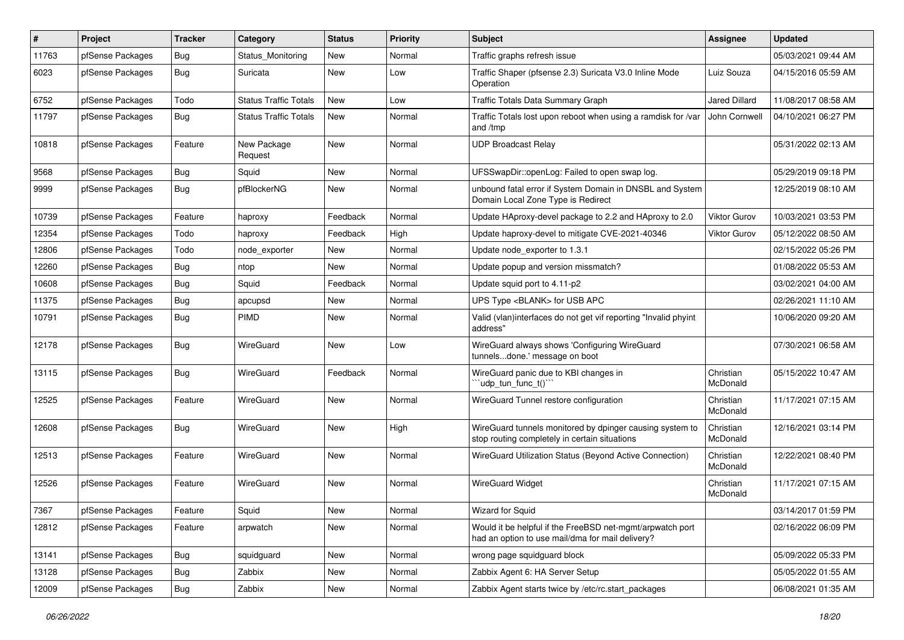| $\sharp$ | Project          | <b>Tracker</b> | Category                     | <b>Status</b> | <b>Priority</b> | Subject                                                                                                       | <b>Assignee</b>       | <b>Updated</b>      |
|----------|------------------|----------------|------------------------------|---------------|-----------------|---------------------------------------------------------------------------------------------------------------|-----------------------|---------------------|
| 11763    | pfSense Packages | <b>Bug</b>     | Status Monitoring            | New           | Normal          | Traffic graphs refresh issue                                                                                  |                       | 05/03/2021 09:44 AM |
| 6023     | pfSense Packages | Bug            | Suricata                     | New           | Low             | Traffic Shaper (pfsense 2.3) Suricata V3.0 Inline Mode<br>Operation                                           | Luiz Souza            | 04/15/2016 05:59 AM |
| 6752     | pfSense Packages | Todo           | <b>Status Traffic Totals</b> | <b>New</b>    | Low             | Traffic Totals Data Summary Graph                                                                             | <b>Jared Dillard</b>  | 11/08/2017 08:58 AM |
| 11797    | pfSense Packages | Bug            | <b>Status Traffic Totals</b> | New           | Normal          | Traffic Totals lost upon reboot when using a ramdisk for /var<br>and /tmp                                     | John Cornwell         | 04/10/2021 06:27 PM |
| 10818    | pfSense Packages | Feature        | New Package<br>Request       | New           | Normal          | <b>UDP Broadcast Relay</b>                                                                                    |                       | 05/31/2022 02:13 AM |
| 9568     | pfSense Packages | <b>Bug</b>     | Squid                        | New           | Normal          | UFSSwapDir::openLog: Failed to open swap log.                                                                 |                       | 05/29/2019 09:18 PM |
| 9999     | pfSense Packages | Bug            | pfBlockerNG                  | New           | Normal          | unbound fatal error if System Domain in DNSBL and System<br>Domain Local Zone Type is Redirect                |                       | 12/25/2019 08:10 AM |
| 10739    | pfSense Packages | Feature        | haproxy                      | Feedback      | Normal          | Update HAproxy-devel package to 2.2 and HAproxy to 2.0                                                        | Viktor Gurov          | 10/03/2021 03:53 PM |
| 12354    | pfSense Packages | Todo           | haproxy                      | Feedback      | High            | Update haproxy-devel to mitigate CVE-2021-40346                                                               | <b>Viktor Gurov</b>   | 05/12/2022 08:50 AM |
| 12806    | pfSense Packages | Todo           | node exporter                | New           | Normal          | Update node exporter to 1.3.1                                                                                 |                       | 02/15/2022 05:26 PM |
| 12260    | pfSense Packages | Bug            | ntop                         | New           | Normal          | Update popup and version missmatch?                                                                           |                       | 01/08/2022 05:53 AM |
| 10608    | pfSense Packages | Bug            | Squid                        | Feedback      | Normal          | Update squid port to 4.11-p2                                                                                  |                       | 03/02/2021 04:00 AM |
| 11375    | pfSense Packages | Bug            | apcupsd                      | New           | Normal          | UPS Type <blank> for USB APC</blank>                                                                          |                       | 02/26/2021 11:10 AM |
| 10791    | pfSense Packages | <b>Bug</b>     | <b>PIMD</b>                  | New           | Normal          | Valid (vlan)interfaces do not get vif reporting "Invalid phyint<br>address"                                   |                       | 10/06/2020 09:20 AM |
| 12178    | pfSense Packages | <b>Bug</b>     | WireGuard                    | New           | Low             | WireGuard always shows 'Configuring WireGuard<br>tunnelsdone.' message on boot                                |                       | 07/30/2021 06:58 AM |
| 13115    | pfSense Packages | Bug            | WireGuard                    | Feedback      | Normal          | WireGuard panic due to KBI changes in<br>"udp_tun_func_t()"                                                   | Christian<br>McDonald | 05/15/2022 10:47 AM |
| 12525    | pfSense Packages | Feature        | WireGuard                    | New           | Normal          | WireGuard Tunnel restore configuration                                                                        | Christian<br>McDonald | 11/17/2021 07:15 AM |
| 12608    | pfSense Packages | Bug            | WireGuard                    | New           | High            | WireGuard tunnels monitored by dpinger causing system to<br>stop routing completely in certain situations     | Christian<br>McDonald | 12/16/2021 03:14 PM |
| 12513    | pfSense Packages | Feature        | WireGuard                    | New           | Normal          | WireGuard Utilization Status (Beyond Active Connection)                                                       | Christian<br>McDonald | 12/22/2021 08:40 PM |
| 12526    | pfSense Packages | Feature        | WireGuard                    | <b>New</b>    | Normal          | <b>WireGuard Widget</b>                                                                                       | Christian<br>McDonald | 11/17/2021 07:15 AM |
| 7367     | pfSense Packages | Feature        | Squid                        | New           | Normal          | Wizard for Squid                                                                                              |                       | 03/14/2017 01:59 PM |
| 12812    | pfSense Packages | Feature        | arpwatch                     | New           | Normal          | Would it be helpful if the FreeBSD net-mgmt/arpwatch port<br>had an option to use mail/dma for mail delivery? |                       | 02/16/2022 06:09 PM |
| 13141    | pfSense Packages | Bug            | squidguard                   | New           | Normal          | wrong page squidguard block                                                                                   |                       | 05/09/2022 05:33 PM |
| 13128    | pfSense Packages | <b>Bug</b>     | Zabbix                       | New           | Normal          | Zabbix Agent 6: HA Server Setup                                                                               |                       | 05/05/2022 01:55 AM |
| 12009    | pfSense Packages | <b>Bug</b>     | Zabbix                       | New           | Normal          | Zabbix Agent starts twice by /etc/rc.start_packages                                                           |                       | 06/08/2021 01:35 AM |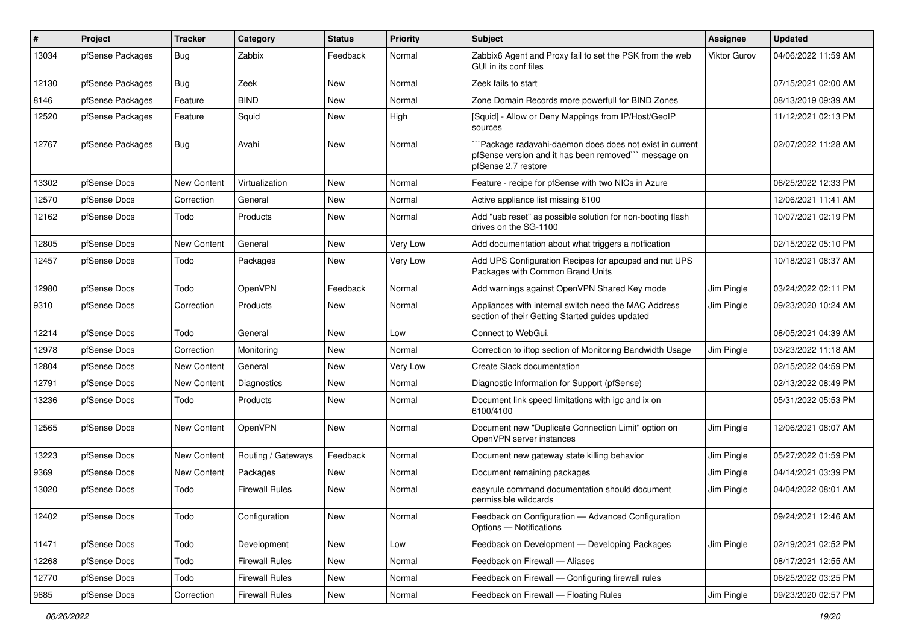| #     | Project          | Tracker            | Category              | <b>Status</b> | <b>Priority</b> | <b>Subject</b>                                                                                                                        | <b>Assignee</b>     | <b>Updated</b>      |
|-------|------------------|--------------------|-----------------------|---------------|-----------------|---------------------------------------------------------------------------------------------------------------------------------------|---------------------|---------------------|
| 13034 | pfSense Packages | <b>Bug</b>         | Zabbix                | Feedback      | Normal          | Zabbix6 Agent and Proxy fail to set the PSK from the web<br>GUI in its conf files                                                     | <b>Viktor Gurov</b> | 04/06/2022 11:59 AM |
| 12130 | pfSense Packages | <b>Bug</b>         | Zeek                  | <b>New</b>    | Normal          | Zeek fails to start                                                                                                                   |                     | 07/15/2021 02:00 AM |
| 8146  | pfSense Packages | Feature            | <b>BIND</b>           | <b>New</b>    | Normal          | Zone Domain Records more powerfull for BIND Zones                                                                                     |                     | 08/13/2019 09:39 AM |
| 12520 | pfSense Packages | Feature            | Squid                 | New           | High            | [Squid] - Allow or Deny Mappings from IP/Host/GeoIP<br>sources                                                                        |                     | 11/12/2021 02:13 PM |
| 12767 | pfSense Packages | <b>Bug</b>         | Avahi                 | New           | Normal          | "Package radavahi-daemon does does not exist in current<br>pfSense version and it has been removed" message on<br>pfSense 2.7 restore |                     | 02/07/2022 11:28 AM |
| 13302 | pfSense Docs     | New Content        | Virtualization        | <b>New</b>    | Normal          | Feature - recipe for pfSense with two NICs in Azure                                                                                   |                     | 06/25/2022 12:33 PM |
| 12570 | pfSense Docs     | Correction         | General               | <b>New</b>    | Normal          | Active appliance list missing 6100                                                                                                    |                     | 12/06/2021 11:41 AM |
| 12162 | pfSense Docs     | Todo               | Products              | <b>New</b>    | Normal          | Add "usb reset" as possible solution for non-booting flash<br>drives on the SG-1100                                                   |                     | 10/07/2021 02:19 PM |
| 12805 | pfSense Docs     | <b>New Content</b> | General               | New           | Very Low        | Add documentation about what triggers a notfication                                                                                   |                     | 02/15/2022 05:10 PM |
| 12457 | pfSense Docs     | Todo               | Packages              | New           | Very Low        | Add UPS Configuration Recipes for apcupsd and nut UPS<br>Packages with Common Brand Units                                             |                     | 10/18/2021 08:37 AM |
| 12980 | pfSense Docs     | Todo               | OpenVPN               | Feedback      | Normal          | Add warnings against OpenVPN Shared Key mode                                                                                          | Jim Pingle          | 03/24/2022 02:11 PM |
| 9310  | pfSense Docs     | Correction         | Products              | <b>New</b>    | Normal          | Appliances with internal switch need the MAC Address<br>section of their Getting Started guides updated                               | Jim Pingle          | 09/23/2020 10:24 AM |
| 12214 | pfSense Docs     | Todo               | General               | <b>New</b>    | Low             | Connect to WebGui.                                                                                                                    |                     | 08/05/2021 04:39 AM |
| 12978 | pfSense Docs     | Correction         | Monitoring            | New           | Normal          | Correction to iftop section of Monitoring Bandwidth Usage                                                                             | Jim Pingle          | 03/23/2022 11:18 AM |
| 12804 | pfSense Docs     | <b>New Content</b> | General               | New           | Very Low        | Create Slack documentation                                                                                                            |                     | 02/15/2022 04:59 PM |
| 12791 | pfSense Docs     | New Content        | Diagnostics           | New           | Normal          | Diagnostic Information for Support (pfSense)                                                                                          |                     | 02/13/2022 08:49 PM |
| 13236 | pfSense Docs     | Todo               | Products              | <b>New</b>    | Normal          | Document link speed limitations with igc and ix on<br>6100/4100                                                                       |                     | 05/31/2022 05:53 PM |
| 12565 | pfSense Docs     | New Content        | OpenVPN               | New           | Normal          | Document new "Duplicate Connection Limit" option on<br>OpenVPN server instances                                                       | Jim Pingle          | 12/06/2021 08:07 AM |
| 13223 | pfSense Docs     | New Content        | Routing / Gateways    | Feedback      | Normal          | Document new gateway state killing behavior                                                                                           | Jim Pingle          | 05/27/2022 01:59 PM |
| 9369  | pfSense Docs     | <b>New Content</b> | Packages              | New           | Normal          | Document remaining packages                                                                                                           | Jim Pingle          | 04/14/2021 03:39 PM |
| 13020 | pfSense Docs     | Todo               | <b>Firewall Rules</b> | New           | Normal          | easyrule command documentation should document<br>permissible wildcards                                                               | Jim Pingle          | 04/04/2022 08:01 AM |
| 12402 | pfSense Docs     | Todo               | Configuration         | New           | Normal          | Feedback on Configuration - Advanced Configuration<br>Options - Notifications                                                         |                     | 09/24/2021 12:46 AM |
| 11471 | pfSense Docs     | Todo               | Development           | New           | Low             | Feedback on Development - Developing Packages                                                                                         | Jim Pingle          | 02/19/2021 02:52 PM |
| 12268 | pfSense Docs     | Todo               | <b>Firewall Rules</b> | New           | Normal          | Feedback on Firewall - Aliases                                                                                                        |                     | 08/17/2021 12:55 AM |
| 12770 | pfSense Docs     | Todo               | <b>Firewall Rules</b> | New           | Normal          | Feedback on Firewall - Configuring firewall rules                                                                                     |                     | 06/25/2022 03:25 PM |
| 9685  | pfSense Docs     | Correction         | <b>Firewall Rules</b> | New           | Normal          | Feedback on Firewall - Floating Rules                                                                                                 | Jim Pingle          | 09/23/2020 02:57 PM |